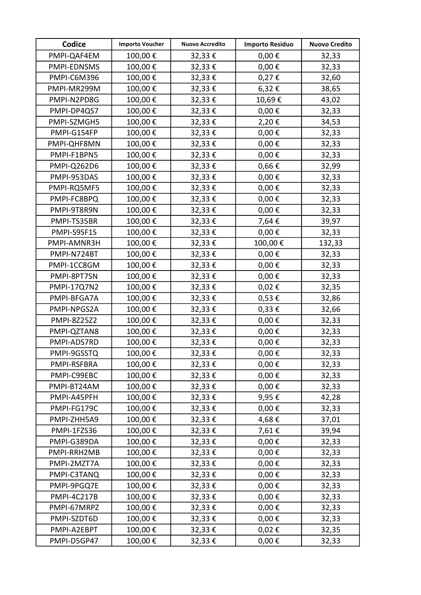| Codice             | <b>Importo Voucher</b> | <b>Nuovo Accredito</b> | <b>Importo Residuo</b> | <b>Nuovo Credito</b> |
|--------------------|------------------------|------------------------|------------------------|----------------------|
| PMPI-QAF4EM        | 100,00€                | 32,33€                 | $0,00 \in$             | 32,33                |
| PMPI-EDNSMS        | 100,00€                | 32,33€                 | $0,00 \in$             | 32,33                |
| PMPI-C6M396        | 100,00€                | 32,33€                 | $0,27 \in$             | 32,60                |
| PMPI-MR299M        | 100,00€                | 32,33€                 | 6,32€                  | 38,65                |
| PMPI-N2PD8G        | 100,00€                | 32,33€                 | 10,69€                 | 43,02                |
| PMPI-DP4QS7        | 100,00€                | 32,33€                 | $0,00 \in$             | 32,33                |
| PMPI-SZMGH5        | 100,00€                | 32,33€                 | 2,20€                  | 34,53                |
| PMPI-G1S4FP        | 100,00€                | 32,33€                 | $0,00 \in$             | 32,33                |
| PMPI-QHF8MN        | 100,00€                | 32,33€                 | $0,00 \in$             | 32,33                |
| PMPI-F1BPN5        | 100,00€                | 32,33€                 | $0,00 \in$             | 32,33                |
| PMPI-Q262D6        | 100,00€                | 32,33€                 | $0,66 \in$             | 32,99                |
| PMPI-953DAS        | 100,00€                | 32,33€                 | $0,00 \in$             | 32,33                |
| PMPI-RQ5MF5        | 100,00€                | 32,33€                 | $0,00 \in$             | 32,33                |
| PMPI-FC8BPQ        | 100,00€                | 32,33€                 | $0,00 \in$             | 32,33                |
| PMPI-9T8R9N        | 100,00€                | 32,33€                 | $0,00 \in$             | 32,33                |
| PMPI-TS35BR        | 100,00€                | 32,33€                 | 7,64€                  | 39,97                |
| PMPI-S9SF1S        | 100,00€                | 32,33€                 | $0,00 \in$             | 32,33                |
| PMPI-AMNR3H        | 100,00€                | 32,33€                 | 100,00€                | 132,33               |
| PMPI-N724BT        | 100,00€                | 32,33€                 | $0,00 \in$             | 32,33                |
| PMPI-1CC8GM        | 100,00€                | 32,33€                 | $0,00 \in$             | 32,33                |
| PMPI-8PT7SN        | 100,00€                | 32,33€                 | $0,00 \in$             | 32,33                |
| <b>PMPI-17Q7N2</b> | 100,00€                | 32,33€                 | $0,02 \in$             | 32,35                |
| PMPI-BFGA7A        | 100,00€                | 32,33€                 | $0,53 \in$             | 32,86                |
| PMPI-NPGS2A        | 100,00€                | 32,33€                 | $0,33 \notin$          | 32,66                |
| <b>PMPI-8Z25Z2</b> | 100,00€                | 32,33€                 | $0,00 \in$             | 32,33                |
| PMPI-QZTAN8        | 100,00€                | 32,33€                 | $0,00 \in$             | 32,33                |
| PMPI-ADS7RD        | 100,00€                | 32,33€                 | $0,00 \in$             | 32,33                |
| PMPI-9GSSTQ        | 100,00€                | 32,33€                 | 0,00 $\epsilon$        | 32,33                |
| PMPI-RSFBRA        | 100,00€                | 32,33€                 | $0,00 \in$             | 32,33                |
| PMPI-C99EBC        | 100,00€                | 32,33€                 | $0,00 \in$             | 32,33                |
| PMPI-BT24AM        | 100,00€                | 32,33€                 | $0,00 \in$             | 32,33                |
| PMPI-A45PFH        | 100,00€                | 32,33€                 | 9,95€                  | 42,28                |
| PMPI-FG179C        | 100,00€                | 32,33€                 | $0,00 \in$             | 32,33                |
| PMPI-ZHH5A9        | 100,00€                | 32,33€                 | 4,68€                  | 37,01                |
| PMPI-1FZS36        | 100,00€                | 32,33€                 | 7,61€                  | 39,94                |
| PMPI-G389DA        | 100,00€                | 32,33€                 | $0,00 \in$             | 32,33                |
| PMPI-RRH2MB        | 100,00€                | 32,33€                 | $0,00 \in$             | 32,33                |
| PMPI-2MZT7A        | 100,00€                | 32,33€                 | $0,00 \in$             | 32,33                |
| PMPI-C3TANQ        | 100,00€                | 32,33€                 | $0,00 \in$             | 32,33                |
| PMPI-9PGQ7E        | 100,00€                | 32,33€                 | $0,00 \in$             | 32,33                |
| PMPI-4C217B        | 100,00€                | 32,33€                 | $0,00 \in$             | 32,33                |
| PMPI-67MRPZ        | 100,00€                | 32,33€                 | $0,00 \in$             | 32,33                |
| PMPI-SZDT6D        | 100,00€                | 32,33€                 | $0,00 \in$             | 32,33                |
| PMPI-A2EBPT        | 100,00€                | 32,33€                 | $0,02 \in$             | 32,35                |
| PMPI-D5GP47        | 100,00€                | 32,33€                 | $0,00 \in$             | 32,33                |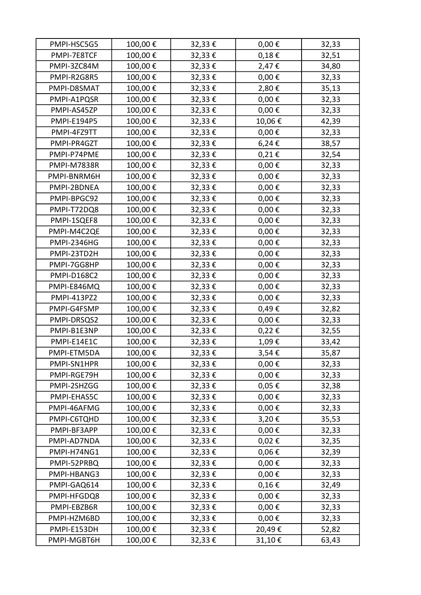| PMPI-HSC5G5        | 100,00€ | 32,33€ | $0,00 \in$ | 32,33 |
|--------------------|---------|--------|------------|-------|
| PMPI-7E8TCF        | 100,00€ | 32,33€ | $0,18 \in$ | 32,51 |
| PMPI-3ZC84M        | 100,00€ | 32,33€ | 2,47€      | 34,80 |
| PMPI-R2G8R5        | 100,00€ | 32,33€ | $0,00 \in$ | 32,33 |
| PMPI-D8SMAT        | 100,00€ | 32,33€ | 2,80€      | 35,13 |
| PMPI-A1PQSR        | 100,00€ | 32,33€ | $0,00 \in$ | 32,33 |
| PMPI-AS45ZP        | 100,00€ | 32,33€ | $0,00 \in$ | 32,33 |
| <b>PMPI-E194P5</b> | 100,00€ | 32,33€ | 10,06€     | 42,39 |
| PMPI-4FZ9TT        | 100,00€ | 32,33€ | $0,00 \in$ | 32,33 |
| PMPI-PR4GZT        | 100,00€ | 32,33€ | 6,24€      | 38,57 |
| PMPI-P74PME        | 100,00€ | 32,33€ | $0,21 \in$ | 32,54 |
| <b>PMPI-M7838R</b> | 100,00€ | 32,33€ | $0,00 \in$ | 32,33 |
| PMPI-BNRM6H        | 100,00€ | 32,33€ | $0,00 \in$ | 32,33 |
| PMPI-2BDNEA        | 100,00€ | 32,33€ | $0,00 \in$ | 32,33 |
| PMPI-BPGC92        | 100,00€ | 32,33€ | $0,00 \in$ | 32,33 |
| PMPI-T72DQ8        | 100,00€ | 32,33€ | $0,00 \in$ | 32,33 |
| PMPI-1SQEF8        | 100,00€ | 32,33€ | $0,00 \in$ | 32,33 |
| PMPI-M4C2QE        | 100,00€ | 32,33€ | $0,00 \in$ | 32,33 |
| <b>PMPI-2346HG</b> | 100,00€ | 32,33€ | $0,00 \in$ | 32,33 |
| PMPI-23TD2H        | 100,00€ | 32,33€ | $0,00 \in$ | 32,33 |
| PMPI-7GG8HP        | 100,00€ | 32,33€ | $0,00 \in$ | 32,33 |
| <b>PMPI-D168C2</b> | 100,00€ | 32,33€ | $0,00 \in$ | 32,33 |
| PMPI-E846MQ        | 100,00€ | 32,33€ | $0,00\in$  | 32,33 |
| PMPI-413PZ2        | 100,00€ | 32,33€ | $0,00 \in$ | 32,33 |
| PMPI-G4FSMP        | 100,00€ | 32,33€ | 0,49€      | 32,82 |
| PMPI-DRSQS2        | 100,00€ | 32,33€ | $0,00 \in$ | 32,33 |
| PMPI-B1E3NP        | 100,00€ | 32,33€ | 0,22€      | 32,55 |
| PMPI-E14E1C        | 100,00€ | 32,33€ | 1,09€      | 33,42 |
| PMPI-ETM5DA        | 100,00€ | 32,33€ | 3,54€      | 35,87 |
| PMPI-SN1HPR        | 100,00€ | 32,33€ | $0,00 \in$ | 32,33 |
| PMPI-RGE79H        | 100,00€ | 32,33€ | $0,00 \in$ | 32,33 |
| PMPI-2SHZGG        | 100,00€ | 32,33€ | $0,05 \in$ | 32,38 |
| PMPI-EHAS5C        | 100,00€ | 32,33€ | $0,00 \in$ | 32,33 |
| PMPI-46AFMG        | 100,00€ | 32,33€ | $0,00 \in$ | 32,33 |
| PMPI-C6TQHD        | 100,00€ | 32,33€ | 3,20€      | 35,53 |
| PMPI-BF3APP        | 100,00€ | 32,33€ | $0,00 \in$ | 32,33 |
| PMPI-AD7NDA        | 100,00€ | 32,33€ | $0,02 \in$ | 32,35 |
| PMPI-H74NG1        | 100,00€ | 32,33€ | $0,06 \in$ | 32,39 |
| PMPI-52PRBQ        | 100,00€ | 32,33€ | $0,00 \in$ | 32,33 |
| PMPI-HBANG3        | 100,00€ | 32,33€ | $0,00 \in$ | 32,33 |
| PMPI-GAQ614        | 100,00€ | 32,33€ | $0,16 \in$ | 32,49 |
| PMPI-HFGDQ8        | 100,00€ | 32,33€ | $0,00 \in$ | 32,33 |
| PMPI-EBZB6R        | 100,00€ | 32,33€ | $0,00 \in$ | 32,33 |
| PMPI-HZM6BD        | 100,00€ | 32,33€ | $0,00 \in$ | 32,33 |
| PMPI-E153DH        | 100,00€ | 32,33€ | 20,49€     | 52,82 |
| PMPI-MGBT6H        | 100,00€ | 32,33€ | 31,10€     | 63,43 |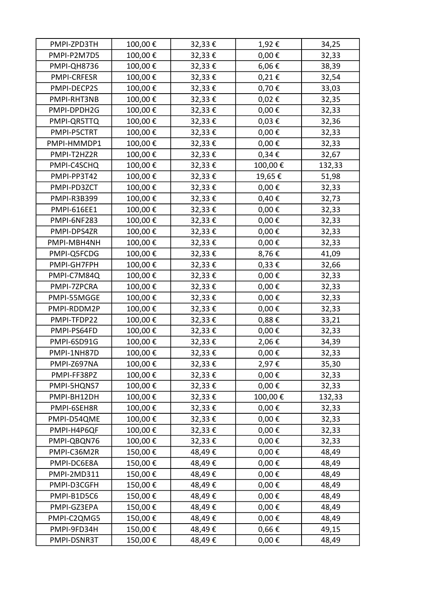| PMPI-ZPD3TH        | 100,00€ | 32,33€ | 1,92€      | 34,25  |
|--------------------|---------|--------|------------|--------|
| PMPI-P2M7D5        | 100,00€ | 32,33€ | $0,00 \in$ | 32,33  |
| PMPI-QH8736        | 100,00€ | 32,33€ | $6,06 \in$ | 38,39  |
| <b>PMPI-CRFESR</b> | 100,00€ | 32,33€ | $0,21 \in$ | 32,54  |
| PMPI-DECP2S        | 100,00€ | 32,33€ | 0,70€      | 33,03  |
| PMPI-RHT3NB        | 100,00€ | 32,33€ | $0,02 \in$ | 32,35  |
| PMPI-DPDH2G        | 100,00€ | 32,33€ | $0,00 \in$ | 32,33  |
| PMPI-QR5TTQ        | 100,00€ | 32,33€ | $0,03 \in$ | 32,36  |
| PMPI-P5CTRT        | 100,00€ | 32,33€ | $0,00 \in$ | 32,33  |
| PMPI-HMMDP1        | 100,00€ | 32,33€ | $0,00 \in$ | 32,33  |
| PMPI-T2HZ2R        | 100,00€ | 32,33€ | $0,34 \in$ | 32,67  |
| PMPI-C4SCHQ        | 100,00€ | 32,33€ | 100,00€    | 132,33 |
| PMPI-PP3T42        | 100,00€ | 32,33€ | 19,65€     | 51,98  |
| PMPI-PD3ZCT        | 100,00€ | 32,33€ | $0,00 \in$ | 32,33  |
| PMPI-R3B399        | 100,00€ | 32,33€ | 0,40€      | 32,73  |
| <b>PMPI-616EE1</b> | 100,00€ | 32,33€ | $0,00 \in$ | 32,33  |
| PMPI-6NF283        | 100,00€ | 32,33€ | $0,00 \in$ | 32,33  |
| PMPI-DPS4ZR        | 100,00€ | 32,33€ | $0,00 \in$ | 32,33  |
| PMPI-MBH4NH        | 100,00€ | 32,33€ | $0,00 \in$ | 32,33  |
| PMPI-Q5FCDG        | 100,00€ | 32,33€ | 8,76€      | 41,09  |
| PMPI-GH7FPH        | 100,00€ | 32,33€ | $0,33 \in$ | 32,66  |
| PMPI-C7M84Q        | 100,00€ | 32,33€ | $0,00 \in$ | 32,33  |
| PMPI-7ZPCRA        | 100,00€ | 32,33€ | $0,00 \in$ | 32,33  |
| PMPI-55MGGE        | 100,00€ | 32,33€ | $0,00 \in$ | 32,33  |
| PMPI-RDDM2P        | 100,00€ | 32,33€ | $0,00 \in$ | 32,33  |
| PMPI-TFDP22        | 100,00€ | 32,33€ | 0,88€      | 33,21  |
| PMPI-PS64FD        | 100,00€ | 32,33€ | $0,00 \in$ | 32,33  |
| PMPI-6SD91G        | 100,00€ | 32,33€ | 2,06€      | 34,39  |
| PMPI-1NH87D        | 100,00€ | 32,33€ | $0,00 \in$ | 32,33  |
| PMPI-Z697NA        | 100,00€ | 32,33€ | 2,97€      | 35,30  |
| PMPI-FF38PZ        | 100,00€ | 32,33€ | $0,00 \in$ | 32,33  |
| PMPI-5HQNS7        | 100,00€ | 32,33€ | $0,00 \in$ | 32,33  |
| PMPI-BH12DH        | 100,00€ | 32,33€ | 100,00€    | 132,33 |
| PMPI-6SEH8R        | 100,00€ | 32,33€ | $0,00 \in$ | 32,33  |
| PMPI-D54QME        | 100,00€ | 32,33€ | $0,00 \in$ | 32,33  |
| PMPI-H4P6QF        | 100,00€ | 32,33€ | $0,00 \in$ | 32,33  |
| PMPI-QBQN76        | 100,00€ | 32,33€ | $0,00 \in$ | 32,33  |
| PMPI-C36M2R        | 150,00€ | 48,49€ | $0,00 \in$ | 48,49  |
| PMPI-DC6E8A        | 150,00€ | 48,49€ | $0,00 \in$ | 48,49  |
| PMPI-2MD311        | 150,00€ | 48,49€ | $0,00 \in$ | 48,49  |
| PMPI-D3CGFH        | 150,00€ | 48,49€ | $0,00 \in$ | 48,49  |
| PMPI-B1D5C6        | 150,00€ | 48,49€ | $0,00 \in$ | 48,49  |
| PMPI-GZ3EPA        | 150,00€ | 48,49€ | $0,00 \in$ | 48,49  |
| PMPI-C2QMG5        | 150,00€ | 48,49€ | $0,00 \in$ | 48,49  |
| PMPI-9FD34H        | 150,00€ | 48,49€ | $0,66 \in$ | 49,15  |
| PMPI-DSNR3T        | 150,00€ | 48,49€ | $0,00 \in$ | 48,49  |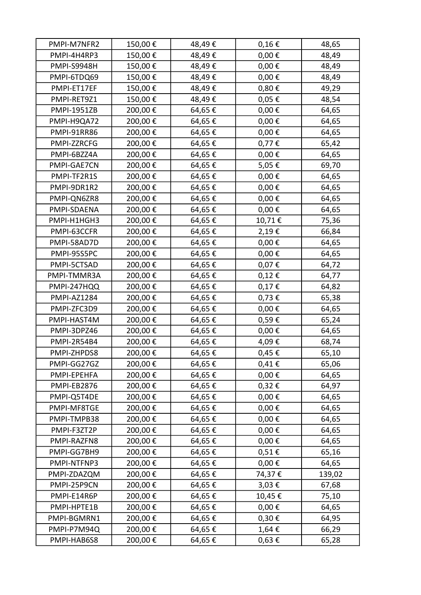| PMPI-M7NFR2        | 150,00€ | 48,49€ | $0,16 \in$      | 48,65  |
|--------------------|---------|--------|-----------------|--------|
| PMPI-4H4RP3        | 150,00€ | 48,49€ | $0,00 \in$      | 48,49  |
| <b>PMPI-S9948H</b> | 150,00€ | 48,49€ | $0,00 \in$      | 48,49  |
| PMPI-6TDQ69        | 150,00€ | 48,49€ | $0,00 \in$      | 48,49  |
| PMPI-ET17EF        | 150,00€ | 48,49€ | 0,80€           | 49,29  |
| PMPI-RET9Z1        | 150,00€ | 48,49€ | $0,05 \in$      | 48,54  |
| <b>PMPI-1951ZB</b> | 200,00€ | 64,65€ | $0,00 \in$      | 64,65  |
| PMPI-H9QA72        | 200,00€ | 64,65€ | $0,00 \in$      | 64,65  |
| <b>PMPI-91RR86</b> | 200,00€ | 64,65€ | $0,00 \in$      | 64,65  |
| PMPI-ZZRCFG        | 200,00€ | 64,65€ | 0,77€           | 65,42  |
| PMPI-6BZZ4A        | 200,00€ | 64,65€ | $0,00 \in$      | 64,65  |
| PMPI-GAE7CN        | 200,00€ | 64,65€ | 5,05€           | 69,70  |
| PMPI-TF2R1S        | 200,00€ | 64,65€ | $0,00\in$       | 64,65  |
| PMPI-9DR1R2        | 200,00€ | 64,65€ | $0,00 \in$      | 64,65  |
| PMPI-QN6ZR8        | 200,00€ | 64,65€ | 0,00 $\epsilon$ | 64,65  |
| PMPI-SDAENA        | 200,00€ | 64,65€ | $0,00 \in$      | 64,65  |
| PMPI-H1HGH3        | 200,00€ | 64,65€ | 10,71€          | 75,36  |
| PMPI-63CCFR        | 200,00€ | 64,65€ | 2,19€           | 66,84  |
| PMPI-58AD7D        | 200,00€ | 64,65€ | $0,00 \in$      | 64,65  |
| PMPI-95S5PC        | 200,00€ | 64,65€ | $0,00 \in$      | 64,65  |
| PMPI-5CTSAD        | 200,00€ | 64,65€ | 0,07 $\epsilon$ | 64,72  |
| PMPI-TMMR3A        | 200,00€ | 64,65€ | $0,12 \in$      | 64,77  |
| PMPI-247HQQ        | 200,00€ | 64,65€ | $0,17 \in$      | 64,82  |
| PMPI-AZ1284        | 200,00€ | 64,65€ | 0,73€           | 65,38  |
| PMPI-ZFC3D9        | 200,00€ | 64,65€ | $0,00 \in$      | 64,65  |
| PMPI-HAST4M        | 200,00€ | 64,65€ | 0,59€           | 65,24  |
| PMPI-3DPZ46        | 200,00€ | 64,65€ | $0,00 \in$      | 64,65  |
| PMPI-2R54B4        | 200,00€ | 64,65€ | 4,09€           | 68,74  |
| PMPI-ZHPDS8        | 200,00€ | 64,65€ | 0,45 €          | 65,10  |
| PMPI-GG27GZ        | 200,00€ | 64,65€ | 0,41€           | 65,06  |
| PMPI-EPEHFA        | 200,00€ | 64,65€ | $0,00 \in$      | 64,65  |
| PMPI-EB2876        | 200,00€ | 64,65€ | $0,32 \in$      | 64,97  |
| PMPI-Q5T4DE        | 200,00€ | 64,65€ | $0,00 \in$      | 64,65  |
| PMPI-MF8TGE        | 200,00€ | 64,65€ | $0,00 \in$      | 64,65  |
| PMPI-TMPB38        | 200,00€ | 64,65€ | $0,00 \in$      | 64,65  |
| PMPI-F3ZT2P        | 200,00€ | 64,65€ | $0,00 \in$      | 64,65  |
| PMPI-RAZFN8        | 200,00€ | 64,65€ | $0,00 \in$      | 64,65  |
| PMPI-GG7BH9        | 200,00€ | 64,65€ | 0,51€           | 65,16  |
| PMPI-NTFNP3        | 200,00€ | 64,65€ | $0,00 \in$      | 64,65  |
| PMPI-ZDAZQM        | 200,00€ | 64,65€ | 74,37€          | 139,02 |
| PMPI-25P9CN        | 200,00€ | 64,65€ | $3,03 \in$      | 67,68  |
| PMPI-E14R6P        | 200,00€ | 64,65€ | 10,45€          | 75,10  |
| PMPI-HPTE1B        | 200,00€ | 64,65€ | $0,00 \in$      | 64,65  |
| PMPI-BGMRN1        | 200,00€ | 64,65€ | $0,30 \in$      | 64,95  |
| PMPI-P7M94Q        | 200,00€ | 64,65€ | 1,64€           | 66,29  |
| PMPI-HAB6S8        | 200,00€ | 64,65€ | $0,63 \in$      | 65,28  |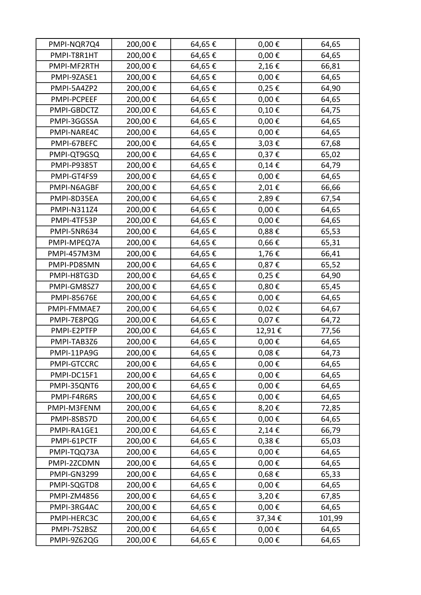| PMPI-NQR7Q4        | 200,00€ | 64,65€ | $0,00 \in$      | 64,65  |
|--------------------|---------|--------|-----------------|--------|
| PMPI-T8R1HT        | 200,00€ | 64,65€ | $0,00 \in$      | 64,65  |
| PMPI-MF2RTH        | 200,00€ | 64,65€ | 2,16€           | 66,81  |
| PMPI-9ZASE1        | 200,00€ | 64,65€ | $0,00 \in$      | 64,65  |
| PMPI-5A4ZP2        | 200,00€ | 64,65€ | $0,25 \in$      | 64,90  |
| PMPI-PCPEEF        | 200,00€ | 64,65€ | $0,00 \in$      | 64,65  |
| PMPI-GBDCTZ        | 200,00€ | 64,65€ | 0,10€           | 64,75  |
| PMPI-3GGSSA        | 200,00€ | 64,65€ | 0,00 $\epsilon$ | 64,65  |
| PMPI-NARE4C        | 200,00€ | 64,65€ | $0,00 \in$      | 64,65  |
| PMPI-67BEFC        | 200,00€ | 64,65€ | 3,03€           | 67,68  |
| PMPI-QT9GSQ        | 200,00€ | 64,65€ | 0,37€           | 65,02  |
| <b>PMPI-P9385T</b> | 200,00€ | 64,65€ | 0,14€           | 64,79  |
| PMPI-GT4FS9        | 200,00€ | 64,65€ | $0,00 \in$      | 64,65  |
| PMPI-N6AGBF        | 200,00€ | 64,65€ | 2,01€           | 66,66  |
| PMPI-8D35EA        | 200,00€ | 64,65€ | 2,89€           | 67,54  |
| PMPI-N311Z4        | 200,00€ | 64,65€ | $0,00 \in$      | 64,65  |
| PMPI-4TF53P        | 200,00€ | 64,65€ | $0,00 \in$      | 64,65  |
| PMPI-5NR634        | 200,00€ | 64,65€ | 0,88€           | 65,53  |
| PMPI-MPEQ7A        | 200,00€ | 64,65€ | $0,66 \in$      | 65,31  |
| PMPI-457M3M        | 200,00€ | 64,65€ | 1,76€           | 66,41  |
| PMPI-PD8SMN        | 200,00€ | 64,65€ | 0,87€           | 65,52  |
| PMPI-H8TG3D        | 200,00€ | 64,65€ | $0,25 \in$      | 64,90  |
| PMPI-GM8SZ7        | 200,00€ | 64,65€ | 0,80€           | 65,45  |
| <b>PMPI-85676E</b> | 200,00€ | 64,65€ | $0,00 \in$      | 64,65  |
| PMPI-FMMAE7        | 200,00€ | 64,65€ | $0,02 \in$      | 64,67  |
| PMPI-7E8PQG        | 200,00€ | 64,65€ | 0,07€           | 64,72  |
| PMPI-E2PTFP        | 200,00€ | 64,65€ | 12,91€          | 77,56  |
| PMPI-TAB3Z6        | 200,00€ | 64,65€ | $0,00 \in$      | 64,65  |
| PMPI-11PA9G        | 200,00€ | 64,65€ | $0,08 \in$      | 64,73  |
| PMPI-GTCCRC        | 200,00€ | 64,65€ | $0,00 \in$      | 64,65  |
| PMPI-DC15F1        | 200,00€ | 64,65€ | $0,00 \in$      | 64,65  |
| PMPI-35QNT6        | 200,00€ | 64,65€ | $0,00 \in$      | 64,65  |
| PMPI-F4R6RS        | 200,00€ | 64,65€ | $0,00 \in$      | 64,65  |
| PMPI-M3FENM        | 200,00€ | 64,65€ | 8,20€           | 72,85  |
| PMPI-8SBS7D        | 200,00€ | 64,65€ | $0,00 \in$      | 64,65  |
| PMPI-RA1GE1        | 200,00€ | 64,65€ | 2,14€           | 66,79  |
| PMPI-61PCTF        | 200,00€ | 64,65€ | 0,38€           | 65,03  |
| PMPI-TQQ73A        | 200,00€ | 64,65€ | $0,00 \in$      | 64,65  |
| PMPI-2ZCDMN        | 200,00€ | 64,65€ | $0,00 \in$      | 64,65  |
| PMPI-GN3299        | 200,00€ | 64,65€ | 0,68€           | 65,33  |
| PMPI-SQGTD8        | 200,00€ | 64,65€ | $0,00 \in$      | 64,65  |
| <b>PMPI-ZM4856</b> | 200,00€ | 64,65€ | 3,20€           | 67,85  |
| PMPI-3RG4AC        | 200,00€ | 64,65€ | $0,00 \in$      | 64,65  |
| PMPI-HERC3C        | 200,00€ | 64,65€ | 37,34€          | 101,99 |
| PMPI-7S2BSZ        | 200,00€ | 64,65€ | $0,00 \in$      | 64,65  |
| PMPI-9Z62QG        | 200,00€ | 64,65€ | $0,00 \in$      | 64,65  |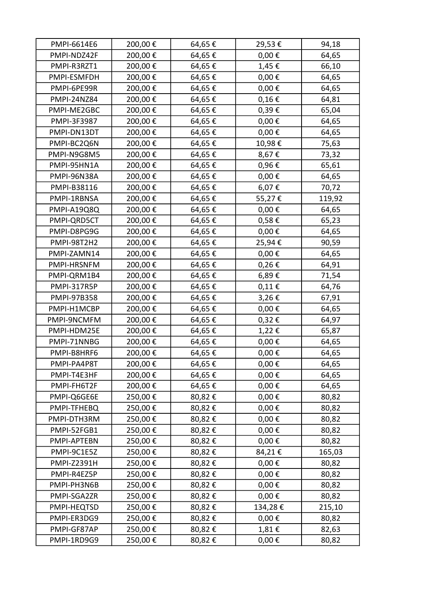| PMPI-6614E6        | 200,00€ | 64,65€ | 29,53€          | 94,18  |
|--------------------|---------|--------|-----------------|--------|
| PMPI-NDZ42F        | 200,00€ | 64,65€ | $0,00 \in$      | 64,65  |
| PMPI-R3RZT1        | 200,00€ | 64,65€ | 1,45€           | 66,10  |
| PMPI-ESMFDH        | 200,00€ | 64,65€ | $0,00 \in$      | 64,65  |
| PMPI-6PE99R        | 200,00€ | 64,65€ | $0,00 \in$      | 64,65  |
| PMPI-24NZ84        | 200,00€ | 64,65€ | $0,16 \in$      | 64,81  |
| PMPI-ME2GBC        | 200,00€ | 64,65€ | 0,39€           | 65,04  |
| PMPI-3F3987        | 200,00€ | 64,65€ | $0,00 \in$      | 64,65  |
| PMPI-DN13DT        | 200,00€ | 64,65€ | $0,00 \in$      | 64,65  |
| PMPI-BC2Q6N        | 200,00€ | 64,65€ | 10,98€          | 75,63  |
| PMPI-N9G8M5        | 200,00€ | 64,65€ | 8,67€           | 73,32  |
| PMPI-95HN1A        | 200,00€ | 64,65€ | 0,96€           | 65,61  |
| PMPI-96N38A        | 200,00€ | 64,65€ | $0,00 \in$      | 64,65  |
| PMPI-B38116        | 200,00€ | 64,65€ | 6,07€           | 70,72  |
| PMPI-1RBNSA        | 200,00€ | 64,65€ | 55,27€          | 119,92 |
| PMPI-A19Q8Q        | 200,00€ | 64,65€ | $0,00 \in$      | 64,65  |
| PMPI-QRD5CT        | 200,00€ | 64,65€ | 0,58€           | 65,23  |
| PMPI-D8PG9G        | 200,00€ | 64,65€ | $0,00 \in$      | 64,65  |
| PMPI-98T2H2        | 200,00€ | 64,65€ | 25,94€          | 90,59  |
| PMPI-ZAMN14        | 200,00€ | 64,65€ | $0,00 \in$      | 64,65  |
| PMPI-HRSNFM        | 200,00€ | 64,65€ | $0,26 \in$      | 64,91  |
| PMPI-QRM1B4        | 200,00€ | 64,65€ | 6,89€           | 71,54  |
| PMPI-317R5P        | 200,00€ | 64,65€ | $0,11\in$       | 64,76  |
| PMPI-97B358        | 200,00€ | 64,65€ | 3,26€           | 67,91  |
| PMPI-H1MCBP        | 200,00€ | 64,65€ | $0,00 \in$      | 64,65  |
| PMPI-9NCMFM        | 200,00€ | 64,65€ | $0,32 \in$      | 64,97  |
| PMPI-HDM25E        | 200,00€ | 64,65€ | 1,22€           | 65,87  |
| PMPI-71NNBG        | 200,00€ | 64,65€ | 0,00 $\epsilon$ | 64,65  |
| PMPI-B8HRF6        | 200,00€ | 64,65€ | $0,\!00\in$     | 64,65  |
| PMPI-PA4P8T        | 200,00€ | 64,65€ | $0,00 \in$      | 64,65  |
| PMPI-T4E3HF        | 200,00€ | 64,65€ | $0,00 \in$      | 64,65  |
| PMPI-FH6T2F        | 200,00€ | 64,65€ | $0,00 \in$      | 64,65  |
| PMPI-Q6GE6E        | 250,00€ | 80,82€ | $0,00 \in$      | 80,82  |
| PMPI-TFHEBQ        | 250,00€ | 80,82€ | $0,00 \in$      | 80,82  |
| PMPI-DTH3RM        | 250,00€ | 80,82€ | $0,00 \in$      | 80,82  |
| PMPI-52FGB1        | 250,00€ | 80,82€ | $0,00 \in$      | 80,82  |
| PMPI-APTEBN        | 250,00€ | 80,82€ | $0,00 \in$      | 80,82  |
| PMPI-9C1E5Z        | 250,00€ | 80,82€ | 84,21€          | 165,03 |
| <b>PMPI-Z2391H</b> | 250,00€ | 80,82€ | $0,00 \in$      | 80,82  |
| PMPI-R4EZ5P        | 250,00€ | 80,82€ | $0,00 \in$      | 80,82  |
| PMPI-PH3N6B        | 250,00€ | 80,82€ | $0,00 \in$      | 80,82  |
| PMPI-SGA2ZR        | 250,00€ | 80,82€ | $0,00 \in$      | 80,82  |
| PMPI-HEQTSD        | 250,00€ | 80,82€ | 134,28€         | 215,10 |
| PMPI-ER3DG9        | 250,00€ | 80,82€ | $0,00 \in$      | 80,82  |
| PMPI-GF87AP        | 250,00€ | 80,82€ | 1,81€           | 82,63  |
| PMPI-1RD9G9        | 250,00€ | 80,82€ | $0,00 \in$      | 80,82  |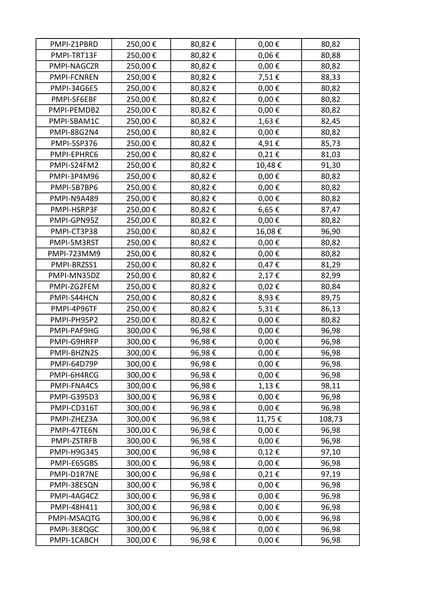| PMPI-Z1PBRD        | 250,00€ | 80,82€ | $0,00 \in$  | 80,82  |
|--------------------|---------|--------|-------------|--------|
| PMPI-TRT13F        | 250,00€ | 80,82€ | $0,06 \in$  | 80,88  |
| PMPI-NAGCZR        | 250,00€ | 80,82€ | $0,00 \in$  | 80,82  |
| PMPI-FCNREN        | 250,00€ | 80,82€ | 7,51€       | 88,33  |
| <b>PMPI-34G6E5</b> | 250,00€ | 80,82€ | $0,00 \in$  | 80,82  |
| PMPI-SF6EBF        | 250,00€ | 80,82€ | $0,00 \in$  | 80,82  |
| PMPI-PEMDB2        | 250,00€ | 80,82€ | $0,00 \in$  | 80,82  |
| PMPI-SBAM1C        | 250,00€ | 80,82€ | 1,63€       | 82,45  |
| <b>PMPI-88G2N4</b> | 250,00€ | 80,82€ | $0,00 \in$  | 80,82  |
| PMPI-5SP376        | 250,00€ | 80,82€ | 4,91€       | 85,73  |
| PMPI-EPHRC6        | 250,00€ | 80,82€ | $0,21 \in$  | 81,03  |
| PMPI-S24FM2        | 250,00€ | 80,82€ | 10,48€      | 91,30  |
| PMPI-3P4M96        | 250,00€ | 80,82€ | $0,00 \in$  | 80,82  |
| PMPI-5B7BP6        | 250,00€ | 80,82€ | $0,00 \in$  | 80,82  |
| PMPI-N9A489        | 250,00€ | 80,82€ | $0,00 \in$  | 80,82  |
| PMPI-HSRP3F        | 250,00€ | 80,82€ | 6,65€       | 87,47  |
| PMPI-GPN95Z        | 250,00€ | 80,82€ | $0,00 \in$  | 80,82  |
| PMPI-CT3P38        | 250,00€ | 80,82€ | 16,08€      | 96,90  |
| PMPI-5M3RST        | 250,00€ | 80,82€ | $0,00 \in$  | 80,82  |
| PMPI-723MM9        | 250,00€ | 80,82€ | $0,00 \in$  | 80,82  |
| PMPI-BRZSS1        | 250,00€ | 80,82€ | $0,47 \in$  | 81,29  |
| PMPI-MN35DZ        | 250,00€ | 80,82€ | 2,17€       | 82,99  |
| PMPI-ZG2FEM        | 250,00€ | 80,82€ | $0,02 \in$  | 80,84  |
| PMPI-S44HCN        | 250,00€ | 80,82€ | 8,93€       | 89,75  |
| PMPI-4P96TF        | 250,00€ | 80,82€ | 5,31€       | 86,13  |
| PMPI-PH95P2        | 250,00€ | 80,82€ | $0,00 \in$  | 80,82  |
| PMPI-PAF9HG        | 300,00€ | 96,98€ | $0,00 \in$  | 96,98  |
| PMPI-G9HRFP        | 300,00€ | 96,98€ | $0,00 \in$  | 96,98  |
| PMPI-BHZN2S        | 300,00€ | 96,98€ | $0,\!00\in$ | 96,98  |
| PMPI-64D79P        | 300,00€ | 96,98€ | $0,00 \in$  | 96,98  |
| PMPI-6H4RCG        | 300,00€ | 96,98€ | $0,00 \in$  | 96,98  |
| PMPI-FNA4CS        | 300,00€ | 96,98€ | 1,13€       | 98,11  |
| <b>PMPI-G395D3</b> | 300,00€ | 96,98€ | $0,00 \in$  | 96,98  |
| PMPI-CD316T        | 300,00€ | 96,98€ | $0,00 \in$  | 96,98  |
| PMPI-ZHEZ3A        | 300,00€ | 96,98€ | 11,75€      | 108,73 |
| PMPI-47TE6N        | 300,00€ | 96,98€ | $0,00 \in$  | 96,98  |
| PMPI-ZSTRFB        | 300,00€ | 96,98€ | $0,00 \in$  | 96,98  |
| <b>PMPI-H9G345</b> | 300,00€ | 96,98€ | $0,12 \in$  | 97,10  |
| PMPI-E65GBS        | 300,00€ | 96,98€ | $0,00 \in$  | 96,98  |
| PMPI-D1R7NE        | 300,00€ | 96,98€ | $0,21 \in$  | 97,19  |
| PMPI-38ESQN        | 300,00€ | 96,98€ | $0,00 \in$  | 96,98  |
| PMPI-4AG4CZ        | 300,00€ | 96,98€ | $0,00 \in$  | 96,98  |
| PMPI-48H411        | 300,00€ | 96,98€ | $0,00 \in$  | 96,98  |
| PMPI-MSAQTG        | 300,00€ | 96,98€ | $0,00 \in$  | 96,98  |
| PMPI-3E8QGC        | 300,00€ | 96,98€ | $0,00 \in$  | 96,98  |
| PMPI-1CABCH        | 300,00€ | 96,98€ | $0,00 \in$  | 96,98  |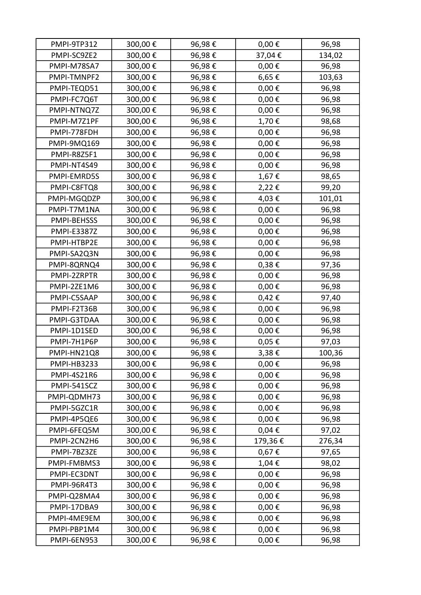| PMPI-9TP312        | 300,00€ | 96,98€ | $0,00 \in$      | 96,98  |
|--------------------|---------|--------|-----------------|--------|
| PMPI-SC9ZE2        | 300,00€ | 96,98€ | 37,04€          | 134,02 |
| PMPI-M78SA7        | 300,00€ | 96,98€ | $0,00 \in$      | 96,98  |
| PMPI-TMNPF2        | 300,00€ | 96,98€ | 6,65€           | 103,63 |
| PMPI-TEQD51        | 300,00€ | 96,98€ | $0,00 \in$      | 96,98  |
| PMPI-FC7Q6T        | 300,00€ | 96,98€ | $0,00 \in$      | 96,98  |
| PMPI-NTNQ7Z        | 300,00€ | 96,98€ | 0,00 $\epsilon$ | 96,98  |
| PMPI-M7Z1PF        | 300,00€ | 96,98€ | 1,70€           | 98,68  |
| PMPI-778FDH        | 300,00€ | 96,98€ | $0,00 \in$      | 96,98  |
| PMPI-9MQ169        | 300,00€ | 96,98€ | $0,00 \in$      | 96,98  |
| PMPI-R8Z5F1        | 300,00€ | 96,98€ | $0,00 \in$      | 96,98  |
| PMPI-NT4S49        | 300,00€ | 96,98€ | $0,00 \in$      | 96,98  |
| PMPI-EMRD5S        | 300,00€ | 96,98€ | $1,67 \in$      | 98,65  |
| PMPI-C8FTQ8        | 300,00€ | 96,98€ | 2,22€           | 99,20  |
| PMPI-MGQDZP        | 300,00€ | 96,98€ | 4,03€           | 101,01 |
| PMPI-T7M1NA        | 300,00€ | 96,98€ | $0,00 \in$      | 96,98  |
| PMPI-BEHSSS        | 300,00€ | 96,98€ | $0,00 \in$      | 96,98  |
| <b>PMPI-E3387Z</b> | 300,00€ | 96,98€ | $0,00 \in$      | 96,98  |
| PMPI-HTBP2E        | 300,00€ | 96,98€ | $0,00 \in$      | 96,98  |
| PMPI-SA2Q3N        | 300,00€ | 96,98€ | $0,00 \in$      | 96,98  |
| PMPI-8QRNQ4        | 300,00€ | 96,98€ | $0,38 \in$      | 97,36  |
| PMPI-2ZRPTR        | 300,00€ | 96,98€ | $0,00 \in$      | 96,98  |
| PMPI-2ZE1M6        | 300,00€ | 96,98€ | $0,00 \in$      | 96,98  |
| PMPI-C5SAAP        | 300,00€ | 96,98€ | 0,42€           | 97,40  |
| PMPI-F2T36B        | 300,00€ | 96,98€ | $0,00 \in$      | 96,98  |
| PMPI-G3TDAA        | 300,00€ | 96,98€ | $0,00 \in$      | 96,98  |
| PMPI-1D1SED        | 300,00€ | 96,98€ | $0,00 \in$      | 96,98  |
| PMPI-7H1P6P        | 300,00€ | 96,98€ | $0,05 \in$      | 97,03  |
| PMPI-HN21Q8        | 300,00€ | 96,98€ | 3,38€           | 100,36 |
| PMPI-HB3233        | 300,00€ | 96,98€ | $0,00 \in$      | 96,98  |
| <b>PMPI-4S21R6</b> | 300,00€ | 96,98€ | $0,00 \in$      | 96,98  |
| PMPI-541SCZ        | 300,00€ | 96,98€ | $0,00 \in$      | 96,98  |
| PMPI-QDMH73        | 300,00€ | 96,98€ | $0,00 \in$      | 96,98  |
| PMPI-5GZC1R        | 300,00€ | 96,98€ | $0,00 \in$      | 96,98  |
| PMPI-4P5QE6        | 300,00€ | 96,98€ | $0,00 \in$      | 96,98  |
| PMPI-6FEQ5M        | 300,00€ | 96,98€ | 0,04€           | 97,02  |
| PMPI-2CN2H6        | 300,00€ | 96,98€ | 179,36€         | 276,34 |
| PMPI-7BZ3ZE        | 300,00€ | 96,98€ | 0,67€           | 97,65  |
| PMPI-FMBMS3        | 300,00€ | 96,98€ | 1,04€           | 98,02  |
| PMPI-EC3DNT        | 300,00€ | 96,98€ | $0,00 \in$      | 96,98  |
| PMPI-96R4T3        | 300,00€ | 96,98€ | $0,00 \in$      | 96,98  |
| PMPI-Q28MA4        | 300,00€ | 96,98€ | $0,00 \in$      | 96,98  |
| PMPI-17DBA9        | 300,00€ | 96,98€ | $0,00 \in$      | 96,98  |
| PMPI-4ME9EM        | 300,00€ | 96,98€ | $0,00 \in$      | 96,98  |
| PMPI-PBP1M4        | 300,00€ | 96,98€ | $0,00 \in$      | 96,98  |
| PMPI-6EN953        | 300,00€ | 96,98€ | $0,00 \in$      | 96,98  |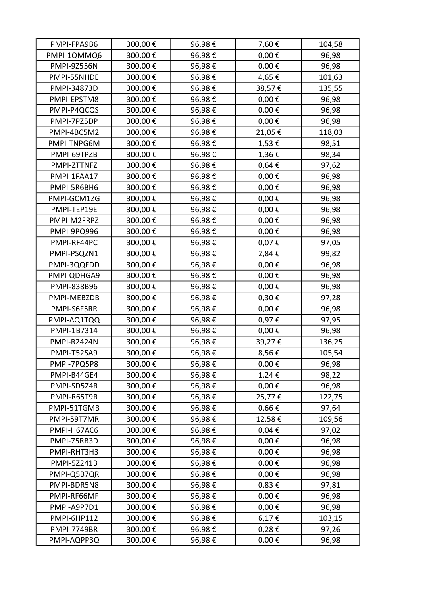| PMPI-FPA9B6        | 300,00€ | 96,98€ | 7,60€      | 104,58 |
|--------------------|---------|--------|------------|--------|
| PMPI-1QMMQ6        | 300,00€ | 96,98€ | $0,00 \in$ | 96,98  |
| <b>PMPI-9Z556N</b> | 300,00€ | 96,98€ | $0,00 \in$ | 96,98  |
| PMPI-55NHDE        | 300,00€ | 96,98€ | 4,65€      | 101,63 |
| PMPI-34873D        | 300,00€ | 96,98€ | 38,57€     | 135,55 |
| PMPI-EPSTM8        | 300,00€ | 96,98€ | $0,00 \in$ | 96,98  |
| PMPI-P4QCQS        | 300,00€ | 96,98€ | $0,00 \in$ | 96,98  |
| PMPI-7PZ5DP        | 300,00€ | 96,98€ | $0,00 \in$ | 96,98  |
| PMPI-4BC5M2        | 300,00€ | 96,98€ | 21,05€     | 118,03 |
| PMPI-TNPG6M        | 300,00€ | 96,98€ | 1,53€      | 98,51  |
| PMPI-69TPZB        | 300,00€ | 96,98€ | 1,36€      | 98,34  |
| PMPI-ZTTNFZ        | 300,00€ | 96,98€ | 0,64€      | 97,62  |
| PMPI-1FAA17        | 300,00€ | 96,98€ | $0,00 \in$ | 96,98  |
| PMPI-5R6BH6        | 300,00€ | 96,98€ | $0,00 \in$ | 96,98  |
| PMPI-GCM1ZG        | 300,00€ | 96,98€ | $0,00 \in$ | 96,98  |
| PMPI-TEP19E        | 300,00€ | 96,98€ | $0,00 \in$ | 96,98  |
| PMPI-M2FRPZ        | 300,00€ | 96,98€ | $0,00 \in$ | 96,98  |
| PMPI-9PQ996        | 300,00€ | 96,98€ | $0,00 \in$ | 96,98  |
| PMPI-RF44PC        | 300,00€ | 96,98€ | 0,07€      | 97,05  |
| PMPI-PSQZN1        | 300,00€ | 96,98€ | 2,84€      | 99,82  |
| PMPI-3QQFDD        | 300,00€ | 96,98€ | $0,00 \in$ | 96,98  |
| PMPI-QDHGA9        | 300,00€ | 96,98€ | $0,00 \in$ | 96,98  |
| PMPI-838B96        | 300,00€ | 96,98€ | $0,00 \in$ | 96,98  |
| PMPI-MEBZDB        | 300,00€ | 96,98€ | 0,30€      | 97,28  |
| PMPI-S6F5RR        | 300,00€ | 96,98€ | $0,00 \in$ | 96,98  |
| PMPI-AQ1TQQ        | 300,00€ | 96,98€ | 0,97€      | 97,95  |
| PMPI-1B7314        | 300,00€ | 96,98€ | $0,00 \in$ | 96,98  |
| PMPI-R2424N        | 300,00€ | 96,98€ | 39,27€     | 136,25 |
| PMPI-T52SA9        | 300,00€ | 96,98€ | 8,56€      | 105,54 |
| PMPI-7PQ5P8        | 300,00€ | 96,98€ | $0,00 \in$ | 96,98  |
| PMPI-B44GE4        | 300,00€ | 96,98€ | 1,24€      | 98,22  |
| PMPI-SD5Z4R        | 300,00€ | 96,98€ | $0,00 \in$ | 96,98  |
| PMPI-R65T9R        | 300,00€ | 96,98€ | 25,77€     | 122,75 |
| PMPI-51TGMB        | 300,00€ | 96,98€ | $0,66 \in$ | 97,64  |
| PMPI-59T7MR        | 300,00€ | 96,98€ | 12,58€     | 109,56 |
| PMPI-H67AC6        | 300,00€ | 96,98€ | $0,04 \in$ | 97,02  |
| PMPI-75RB3D        | 300,00€ | 96,98€ | $0,00 \in$ | 96,98  |
| PMPI-RHT3H3        | 300,00€ | 96,98€ | $0,00 \in$ | 96,98  |
| <b>PMPI-5Z241B</b> | 300,00€ | 96,98€ | $0,00 \in$ | 96,98  |
| PMPI-Q5B7QR        | 300,00€ | 96,98€ | $0,00 \in$ | 96,98  |
| PMPI-BDR5N8        | 300,00€ | 96,98€ | $0,83 \in$ | 97,81  |
| PMPI-RF66MF        | 300,00€ | 96,98€ | $0,00 \in$ | 96,98  |
| PMPI-A9P7D1        | 300,00€ | 96,98€ | $0,00 \in$ | 96,98  |
| PMPI-6HP112        | 300,00€ | 96,98€ | 6,17€      | 103,15 |
| <b>PMPI-7749BR</b> | 300,00€ | 96,98€ | 0,28€      | 97,26  |
| PMPI-AQPP3Q        | 300,00€ | 96,98€ | $0,00 \in$ | 96,98  |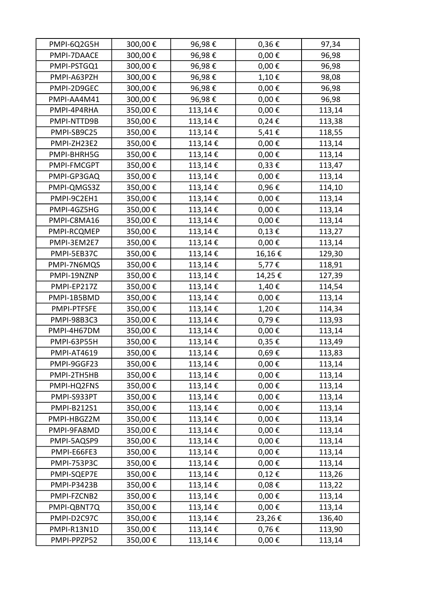| PMPI-6Q2G5H        | 300,00€ | 96,98€  | 0,36€           | 97,34  |
|--------------------|---------|---------|-----------------|--------|
| PMPI-7DAACE        | 300,00€ | 96,98€  | $0,00 \in$      | 96,98  |
| PMPI-PSTGQ1        | 300,00€ | 96,98€  | $0,00 \in$      | 96,98  |
| PMPI-A63PZH        | 300,00€ | 96,98€  | 1,10€           | 98,08  |
| PMPI-2D9GEC        | 300,00€ | 96,98€  | $0,00 \in$      | 96,98  |
| PMPI-AA4M41        | 300,00€ | 96,98€  | $0,00 \in$      | 96,98  |
| PMPI-4P4RHA        | 350,00€ | 113,14€ | $0,00 \in$      | 113,14 |
| PMPI-NTTD9B        | 350,00€ | 113,14€ | $0,24 \in$      | 113,38 |
| PMPI-SB9C25        | 350,00€ | 113,14€ | 5,41€           | 118,55 |
| PMPI-ZH23E2        | 350,00€ | 113,14€ | $0,00 \in$      | 113,14 |
| PMPI-BHRH5G        | 350,00€ | 113,14€ | $0,00 \in$      | 113,14 |
| PMPI-FMCGPT        | 350,00€ | 113,14€ | $0,33 \notin$   | 113,47 |
| PMPI-GP3GAQ        | 350,00€ | 113,14€ | $0,00 \in$      | 113,14 |
| PMPI-QMGS3Z        | 350,00€ | 113,14€ | 0,96€           | 114,10 |
| PMPI-9C2EH1        | 350,00€ | 113,14€ | $0,00 \in$      | 113,14 |
| PMPI-4GZ5HG        | 350,00€ | 113,14€ | $0,00 \in$      | 113,14 |
| PMPI-C8MA16        | 350,00€ | 113,14€ | $0,00 \in$      | 113,14 |
| PMPI-RCQMEP        | 350,00€ | 113,14€ | $0,13 \in$      | 113,27 |
| PMPI-3EM2E7        | 350,00€ | 113,14€ | $0,00 \in$      | 113,14 |
| PMPI-5EB37C        | 350,00€ | 113,14€ | 16,16€          | 129,30 |
| PMPI-7N6MQS        | 350,00€ | 113,14€ | 5,77€           | 118,91 |
| PMPI-19NZNP        | 350,00€ | 113,14€ | 14,25€          | 127,39 |
| PMPI-EP217Z        | 350,00€ | 113,14€ | 1,40€           | 114,54 |
| PMPI-1B5BMD        | 350,00€ | 113,14€ | $0,00 \in$      | 113,14 |
| PMPI-PTFSFE        | 350,00€ | 113,14€ | 1,20€           | 114,34 |
| <b>PMPI-98B3C3</b> | 350,00€ | 113,14€ | 0,79€           | 113,93 |
| PMPI-4H67DM        | 350,00€ | 113,14€ | $0,00 \in$      | 113,14 |
| PMPI-63P55H        | 350,00€ | 113,14€ | 0,35€           | 113,49 |
| PMPI-AT4619        | 350,00€ | 113,14€ | 0,69 $\epsilon$ | 113,83 |
| PMPI-9GGF23        | 350,00€ | 113,14€ | $0,00 \in$      | 113,14 |
| PMPI-2TH5HB        | 350,00€ | 113,14€ | $0,00 \in$      | 113,14 |
| PMPI-HQ2FNS        | 350,00€ | 113,14€ | $0,00 \in$      | 113,14 |
| PMPI-S933PT        | 350,00€ | 113,14€ | $0,00 \in$      | 113,14 |
| <b>PMPI-B212S1</b> | 350,00€ | 113,14€ | $0,00 \in$      | 113,14 |
| PMPI-HBGZ2M        | 350,00€ | 113,14€ | $0,00 \in$      | 113,14 |
| PMPI-9FA8MD        | 350,00€ | 113,14€ | $0,00 \in$      | 113,14 |
| PMPI-5AQSP9        | 350,00€ | 113,14€ | $0,00 \in$      | 113,14 |
| PMPI-E66FE3        | 350,00€ | 113,14€ | $0,00 \in$      | 113,14 |
| <b>PMPI-753P3C</b> | 350,00€ | 113,14€ | $0,00 \in$      | 113,14 |
| PMPI-SQEP7E        | 350,00€ | 113,14€ | 0,12€           | 113,26 |
| <b>PMPI-P3423B</b> | 350,00€ | 113,14€ | $0,08 \in$      | 113,22 |
| PMPI-FZCNB2        | 350,00€ | 113,14€ | $0,00 \in$      | 113,14 |
| PMPI-QBNT7Q        | 350,00€ | 113,14€ | $0,00 \in$      | 113,14 |
| PMPI-D2C97C        | 350,00€ | 113,14€ | 23,26€          | 136,40 |
| PMPI-R13N1D        | 350,00€ | 113,14€ | 0,76€           | 113,90 |
| PMPI-PPZP52        | 350,00€ | 113,14€ | $0,00 \in$      | 113,14 |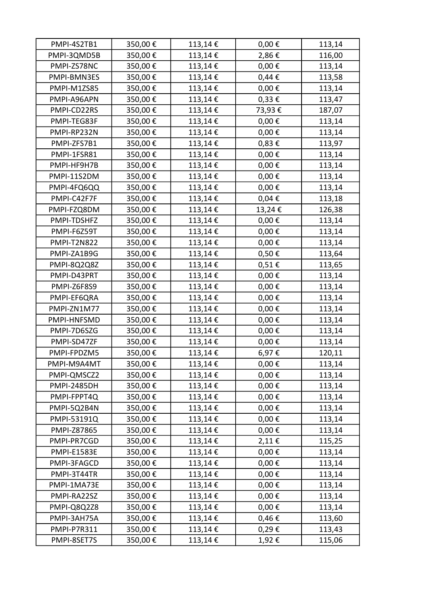| PMPI-4S2TB1        | 350,00€ | 113,14€ | $0,00 \in$      | 113,14 |
|--------------------|---------|---------|-----------------|--------|
| PMPI-3QMD5B        | 350,00€ | 113,14€ | 2,86€           | 116,00 |
| PMPI-ZS78NC        | 350,00€ | 113,14€ | $0,00 \in$      | 113,14 |
| PMPI-BMN3ES        | 350,00€ | 113,14€ | $0,44 \in$      | 113,58 |
| PMPI-M1ZS85        | 350,00€ | 113,14€ | $0,00 \in$      | 113,14 |
| PMPI-A96APN        | 350,00€ | 113,14€ | $0,33 \in$      | 113,47 |
| PMPI-CD22RS        | 350,00€ | 113,14€ | 73,93€          | 187,07 |
| PMPI-TEG83F        | 350,00€ | 113,14€ | $0,00 \in$      | 113,14 |
| PMPI-RP232N        | 350,00€ | 113,14€ | $0,00 \in$      | 113,14 |
| PMPI-ZFS7B1        | 350,00€ | 113,14€ | $0,83 \in$      | 113,97 |
| PMPI-1FSR81        | 350,00€ | 113,14€ | $0,00 \in$      | 113,14 |
| PMPI-HF9H7B        | 350,00€ | 113,14€ | $0,00 \in$      | 113,14 |
| PMPI-11S2DM        | 350,00€ | 113,14€ | $0,00 \in$      | 113,14 |
| PMPI-4FQ6QQ        | 350,00€ | 113,14€ | $0,00 \in$      | 113,14 |
| PMPI-C42F7F        | 350,00€ | 113,14€ | $0,04 \in$      | 113,18 |
| PMPI-FZQ8DM        | 350,00€ | 113,14€ | 13,24€          | 126,38 |
| PMPI-TDSHFZ        | 350,00€ | 113,14€ | $0,00 \in$      | 113,14 |
| PMPI-F6Z59T        | 350,00€ | 113,14€ | 0,00 $\epsilon$ | 113,14 |
| <b>PMPI-T2N822</b> | 350,00€ | 113,14€ | $0,00 \in$      | 113,14 |
| PMPI-ZA1B9G        | 350,00€ | 113,14€ | 0,50€           | 113,64 |
| PMPI-8Q2Q8Z        | 350,00€ | 113,14€ | 0,51€           | 113,65 |
| PMPI-D43PRT        | 350,00€ | 113,14€ | $0,00 \in$      | 113,14 |
| PMPI-Z6F8S9        | 350,00€ | 113,14€ | 0,00 $\epsilon$ | 113,14 |
| PMPI-EF6QRA        | 350,00€ | 113,14€ | $0,00 \in$      | 113,14 |
| PMPI-ZN1M77        | 350,00€ | 113,14€ | $0,00 \in$      | 113,14 |
| PMPI-HNFSMD        | 350,00€ | 113,14€ | $0,00 \in$      | 113,14 |
| PMPI-7D6SZG        | 350,00€ | 113,14€ | $0,00 \in$      | 113,14 |
| PMPI-SD47ZF        | 350,00€ | 113,14€ | $0,00 \in$      | 113,14 |
| PMPI-FPDZM5        | 350,00€ | 113,14€ | 6,97€           | 120,11 |
| PMPI-M9A4MT        | 350,00€ | 113,14€ | $0,00 \in$      | 113,14 |
| PMPI-QMSCZ2        | 350,00€ | 113,14€ | $0,00 \in$      | 113,14 |
| <b>PMPI-2485DH</b> | 350,00€ | 113,14€ | $0,00 \in$      | 113,14 |
| PMPI-FPPT4Q        | 350,00€ | 113,14€ | $0,00 \in$      | 113,14 |
| PMPI-5Q2B4N        | 350,00€ | 113,14€ | $0,00 \in$      | 113,14 |
| PMPI-53191Q        | 350,00€ | 113,14€ | $0,00 \in$      | 113,14 |
| PMPI-Z87865        | 350,00€ | 113,14€ | $0,00 \in$      | 113,14 |
| PMPI-PR7CGD        | 350,00€ | 113,14€ | 2,11€           | 115,25 |
| <b>PMPI-E1583E</b> | 350,00€ | 113,14€ | $0,00 \in$      | 113,14 |
| PMPI-3FAGCD        | 350,00€ | 113,14€ | $0,00 \in$      | 113,14 |
| PMPI-3T44TR        | 350,00€ | 113,14€ | $0,00 \in$      | 113,14 |
| PMPI-1MA73E        | 350,00€ | 113,14€ | $0,00 \in$      | 113,14 |
| PMPI-RA22SZ        | 350,00€ | 113,14€ | $0,00 \in$      | 113,14 |
| PMPI-Q8Q2Z8        | 350,00€ | 113,14€ | $0,00 \in$      | 113,14 |
| PMPI-3AH75A        | 350,00€ | 113,14€ | 0,46€           | 113,60 |
| PMPI-P7R311        | 350,00€ | 113,14€ | 0,29€           | 113,43 |
| PMPI-8SET7S        | 350,00€ | 113,14€ | 1,92€           | 115,06 |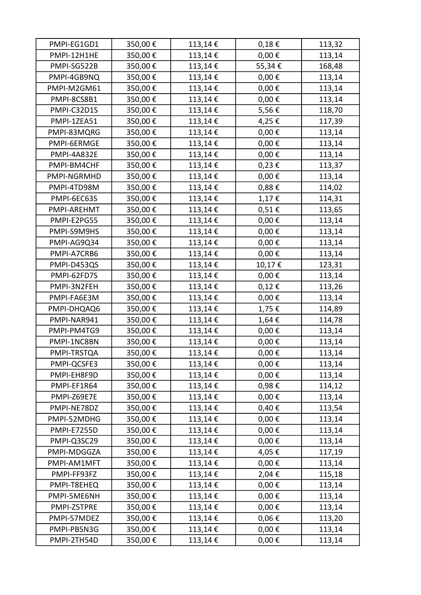| PMPI-EG1GD1        | 350,00€ | 113,14€ | $0,18 \in$ | 113,32 |
|--------------------|---------|---------|------------|--------|
| PMPI-12H1HE        | 350,00€ | 113,14€ | $0,00 \in$ | 113,14 |
| PMPI-SG522B        | 350,00€ | 113,14€ | 55,34€     | 168,48 |
| PMPI-4GB9NQ        | 350,00€ | 113,14€ | $0,00 \in$ | 113,14 |
| PMPI-M2GM61        | 350,00€ | 113,14€ | $0,00 \in$ | 113,14 |
| PMPI-8CS8B1        | 350,00€ | 113,14€ | $0,00 \in$ | 113,14 |
| PMPI-C32D1S        | 350,00€ | 113,14€ | 5,56€      | 118,70 |
| PMPI-1ZEA51        | 350,00€ | 113,14€ | 4,25€      | 117,39 |
| PMPI-83MQRG        | 350,00€ | 113,14€ | $0,00 \in$ | 113,14 |
| PMPI-6ERMGE        | 350,00€ | 113,14€ | $0,00 \in$ | 113,14 |
| PMPI-4A832E        | 350,00€ | 113,14€ | $0,00 \in$ | 113,14 |
| PMPI-BM4CHF        | 350,00€ | 113,14€ | $0,23 \in$ | 113,37 |
| PMPI-NGRMHD        | 350,00€ | 113,14€ | $0,00 \in$ | 113,14 |
| PMPI-4TD98M        | 350,00€ | 113,14€ | 0,88€      | 114,02 |
| PMPI-6EC63S        | 350,00€ | 113,14€ | 1,17€      | 114,31 |
| PMPI-AREHMT        | 350,00€ | 113,14€ | 0,51€      | 113,65 |
| PMPI-E2PG55        | 350,00€ | 113,14€ | $0,00 \in$ | 113,14 |
| PMPI-S9M9HS        | 350,00€ | 113,14€ | $0,00 \in$ | 113,14 |
| PMPI-AG9Q34        | 350,00€ | 113,14€ | $0,00 \in$ | 113,14 |
| PMPI-A7CRB6        | 350,00€ | 113,14€ | $0,00 \in$ | 113,14 |
| PMPI-D453QS        | 350,00€ | 113,14€ | 10,17€     | 123,31 |
| PMPI-62FD7S        | 350,00€ | 113,14€ | $0,00 \in$ | 113,14 |
| PMPI-3N2FEH        | 350,00€ | 113,14€ | $0,12 \in$ | 113,26 |
| PMPI-FA6E3M        | 350,00€ | 113,14€ | $0,00 \in$ | 113,14 |
| PMPI-DHQAQ6        | 350,00€ | 113,14€ | 1,75€      | 114,89 |
| PMPI-NAR941        | 350,00€ | 113,14€ | 1,64€      | 114,78 |
| PMPI-PM4TG9        | 350,00€ | 113,14€ | $0,00 \in$ | 113,14 |
| PMPI-1NC8BN        | 350,00€ | 113,14€ | $0,00 \in$ | 113,14 |
| PMPI-TRSTQA        | 350,00€ | 113,14€ | $0,00 \in$ | 113,14 |
| PMPI-QCSFE3        | 350,00€ | 113,14€ | $0,00 \in$ | 113,14 |
| PMPI-EH8F9D        | 350,00€ | 113,14€ | $0,00 \in$ | 113,14 |
| PMPI-EF1R64        | 350,00€ | 113,14€ | 0,98€      | 114,12 |
| PMPI-Z69E7E        | 350,00€ | 113,14€ | $0,00 \in$ | 113,14 |
| PMPI-NE78DZ        | 350,00€ | 113,14€ | 0,40€      | 113,54 |
| PMPI-52MDHG        | 350,00€ | 113,14€ | $0,00 \in$ | 113,14 |
| <b>PMPI-E7255D</b> | 350,00€ | 113,14€ | $0,00 \in$ | 113,14 |
| PMPI-Q3SC29        | 350,00€ | 113,14€ | $0,00 \in$ | 113,14 |
| PMPI-MDGGZA        | 350,00€ | 113,14€ | 4,05€      | 117,19 |
| PMPI-AM1MFT        | 350,00€ | 113,14€ | $0,00 \in$ | 113,14 |
| PMPI-FF93FZ        | 350,00€ | 113,14€ | 2,04€      | 115,18 |
| PMPI-T8EHEQ        | 350,00€ | 113,14€ | $0,00 \in$ | 113,14 |
| PMPI-5ME6NH        | 350,00€ | 113,14€ | $0,00 \in$ | 113,14 |
| PMPI-Z5TPRE        | 350,00€ | 113,14€ | $0,00 \in$ | 113,14 |
| PMPI-57MDEZ        | 350,00€ | 113,14€ | $0,06 \in$ | 113,20 |
| PMPI-PB5N3G        | 350,00€ | 113,14€ | $0,00 \in$ | 113,14 |
| PMPI-2TH54D        | 350,00€ | 113,14€ | $0,00 \in$ | 113,14 |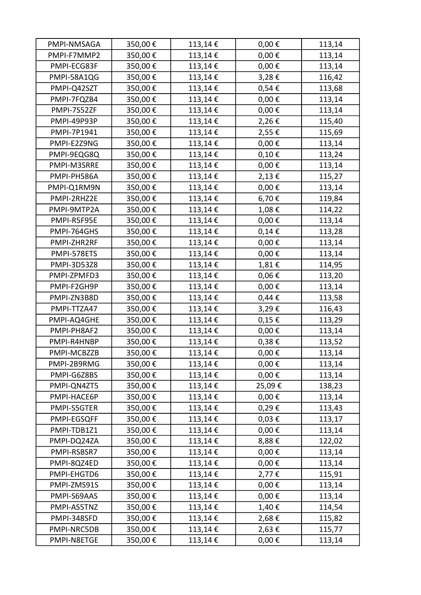| PMPI-NMSAGA | 350,00€ | 113,14€ | $0,00 \in$    | 113,14 |
|-------------|---------|---------|---------------|--------|
| PMPI-F7MMP2 | 350,00€ | 113,14€ | $0,00 \in$    | 113,14 |
| PMPI-ECG83F | 350,00€ | 113,14€ | $0,00 \in$    | 113,14 |
| PMPI-58A1QG | 350,00€ | 113,14€ | 3,28€         | 116,42 |
| PMPI-Q42SZT | 350,00€ | 113,14€ | 0,54€         | 113,68 |
| PMPI-7FQZB4 | 350,00€ | 113,14€ | $0,00 \in$    | 113,14 |
| PMPI-7S52ZF | 350,00€ | 113,14€ | $0,00 \in$    | 113,14 |
| PMPI-49P93P | 350,00€ | 113,14€ | 2,26€         | 115,40 |
| PMPI-7P1941 | 350,00€ | 113,14€ | 2,55€         | 115,69 |
| PMPI-E2Z9NG | 350,00€ | 113,14€ | $0,00 \in$    | 113,14 |
| PMPI-9EQG8Q | 350,00€ | 113,14€ | $0,10 \in$    | 113,24 |
| PMPI-M3SRRE | 350,00€ | 113,14€ | $0,00 \in$    | 113,14 |
| PMPI-PH586A | 350,00€ | 113,14€ | 2,13€         | 115,27 |
| PMPI-Q1RM9N | 350,00€ | 113,14€ | $0,00 \in$    | 113,14 |
| PMPI-2RHZ2E | 350,00€ | 113,14€ | 6,70€         | 119,84 |
| PMPI-9MTP2A | 350,00€ | 113,14€ | 1,08€         | 114,22 |
| PMPI-R5F95E | 350,00€ | 113,14€ | $0,00 \in$    | 113,14 |
| PMPI-764GHS | 350,00€ | 113,14€ | $0,14 \in$    | 113,28 |
| PMPI-ZHR2RF | 350,00€ | 113,14€ | $0,00 \in$    | 113,14 |
| PMPI-578ETS | 350,00€ | 113,14€ | $0,00 \in$    | 113,14 |
| PMPI-3D53Z8 | 350,00€ | 113,14€ | 1,81€         | 114,95 |
| PMPI-ZPMFD3 | 350,00€ | 113,14€ | $0,06 \in$    | 113,20 |
| PMPI-F2GH9P | 350,00€ | 113,14€ | $0,00 \in$    | 113,14 |
| PMPI-ZN3B8D | 350,00€ | 113,14€ | $0,44 \notin$ | 113,58 |
| PMPI-TTZA47 | 350,00€ | 113,14€ | 3,29€         | 116,43 |
| PMPI-AQ4GHE | 350,00€ | 113,14€ | $0,15 \in$    | 113,29 |
| PMPI-PH8AF2 | 350,00€ | 113,14€ | $0,00 \in$    | 113,14 |
| PMPI-R4HNBP | 350,00€ | 113,14€ | $0,38 \in$    | 113,52 |
| PMPI-MCBZZB | 350,00€ | 113,14€ | $0,00 \in$    | 113,14 |
| PMPI-2B9RMG | 350,00€ | 113,14€ | $0,00 \in$    | 113,14 |
| PMPI-G6Z8BS | 350,00€ | 113,14€ | $0,00 \in$    | 113,14 |
| PMPI-QN4ZT5 | 350,00€ | 113,14€ | 25,09€        | 138,23 |
| PMPI-HACE6P | 350,00€ | 113,14€ | $0,00 \in$    | 113,14 |
| PMPI-S5GTER | 350,00€ | 113,14€ | 0,29€         | 113,43 |
| PMPI-EGSQFF | 350,00€ | 113,14€ | $0,03 \in$    | 113,17 |
| PMPI-TDB1Z1 | 350,00€ | 113,14€ | $0,00 \in$    | 113,14 |
| PMPI-DQ24ZA | 350,00€ | 113,14€ | 8,88€         | 122,02 |
| PMPI-RSBSR7 | 350,00€ | 113,14€ | $0,00 \in$    | 113,14 |
| PMPI-8QZ4ED | 350,00€ | 113,14€ | $0,00 \in$    | 113,14 |
| PMPI-EHGTD6 | 350,00€ | 113,14€ | 2,77€         | 115,91 |
| PMPI-ZMS91S | 350,00€ | 113,14€ | $0,00 \in$    | 113,14 |
| PMPI-S69AAS | 350,00€ | 113,14€ | $0,00 \in$    | 113,14 |
| PMPI-AS5TNZ | 350,00€ | 113,14€ | 1,40€         | 114,54 |
| PMPI-348SFD | 350,00€ | 113,14€ | 2,68€         | 115,82 |
| PMPI-NRC5DB | 350,00€ | 113,14€ | 2,63€         | 115,77 |
| PMPI-N8ETGE | 350,00€ | 113,14€ | $0,00 \in$    | 113,14 |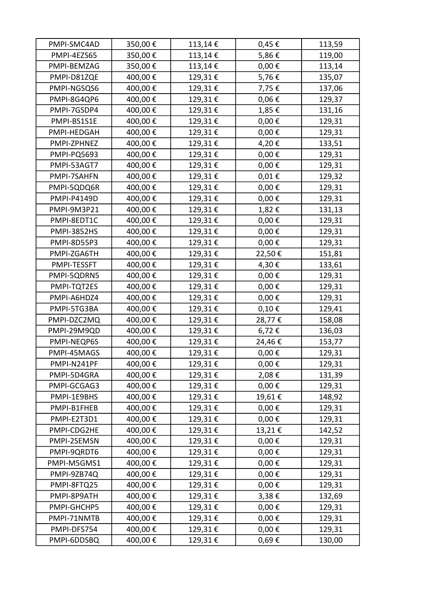| PMPI-SMC4AD        | 350,00€ | 113,14€ | 0,45€       | 113,59 |
|--------------------|---------|---------|-------------|--------|
| PMPI-4EZS65        | 350,00€ | 113,14€ | 5,86€       | 119,00 |
| PMPI-BEMZAG        | 350,00€ | 113,14€ | $0,00 \in$  | 113,14 |
| PMPI-D81ZQE        | 400,00€ | 129,31€ | 5,76€       | 135,07 |
| PMPI-NGSQS6        | 400,00€ | 129,31€ | 7,75€       | 137,06 |
| PMPI-8G4QP6        | 400,00€ | 129,31€ | $0,06 \in$  | 129,37 |
| PMPI-7GSDP4        | 400,00€ | 129,31€ | 1,85€       | 131,16 |
| PMPI-BS1S1E        | 400,00€ | 129,31€ | $0,00 \in$  | 129,31 |
| PMPI-HEDGAH        | 400,00€ | 129,31€ | $0,00 \in$  | 129,31 |
| PMPI-ZPHNEZ        | 400,00€ | 129,31€ | 4,20€       | 133,51 |
| <b>PMPI-PQ5693</b> | 400,00€ | 129,31€ | $0,00 \in$  | 129,31 |
| PMPI-53AGT7        | 400,00€ | 129,31€ | $0,00 \in$  | 129,31 |
| PMPI-7SAHFN        | 400,00€ | 129,31€ | $0,01 \in$  | 129,32 |
| PMPI-5QDQ6R        | 400,00€ | 129,31€ | $0,00 \in$  | 129,31 |
| <b>PMPI-P4149D</b> | 400,00€ | 129,31€ | $0,00 \in$  | 129,31 |
| PMPI-9M3P21        | 400,00€ | 129,31€ | 1,82€       | 131,13 |
| PMPI-8EDT1C        | 400,00€ | 129,31€ | $0,00 \in$  | 129,31 |
| <b>PMPI-3852HS</b> | 400,00€ | 129,31€ | $0,00 \in$  | 129,31 |
| PMPI-8D55P3        | 400,00€ | 129,31€ | $0,00 \in$  | 129,31 |
| PMPI-ZGA6TH        | 400,00€ | 129,31€ | 22,50€      | 151,81 |
| PMPI-TESSFT        | 400,00€ | 129,31€ | 4,30€       | 133,61 |
| PMPI-5QDRN5        | 400,00€ | 129,31€ | $0,00 \in$  | 129,31 |
| PMPI-TQT2ES        | 400,00€ | 129,31€ | $0,00 \in$  | 129,31 |
| PMPI-A6HDZ4        | 400,00€ | 129,31€ | $0,00 \in$  | 129,31 |
| PMPI-5TG3BA        | 400,00€ | 129,31€ | $0,10 \in$  | 129,41 |
| PMPI-DZC2MQ        | 400,00€ | 129,31€ | 28,77€      | 158,08 |
| PMPI-29M9QD        | 400,00€ | 129,31€ | 6,72€       | 136,03 |
| PMPI-NEQP6S        | 400,00€ | 129,31€ | 24,46€      | 153,77 |
| PMPI-45MAGS        | 400,00€ | 129,31€ | $0,\!00\in$ | 129,31 |
| PMPI-N241PF        | 400,00€ | 129,31€ | $0,00 \in$  | 129,31 |
| PMPI-5D4GRA        | 400,00€ | 129,31€ | 2,08€       | 131,39 |
| PMPI-GCGAG3        | 400,00€ | 129,31€ | $0,00 \in$  | 129,31 |
| PMPI-1E9BHS        | 400,00€ | 129,31€ | 19,61€      | 148,92 |
| PMPI-B1FHEB        | 400,00€ | 129,31€ | $0,00 \in$  | 129,31 |
| PMPI-E2T3D1        | 400,00€ | 129,31€ | $0,00 \in$  | 129,31 |
| PMPI-CDG2HE        | 400,00€ | 129,31€ | 13,21€      | 142,52 |
| PMPI-2SEMSN        | 400,00€ | 129,31€ | $0,00 \in$  | 129,31 |
| PMPI-9QRDT6        | 400,00€ | 129,31€ | $0,00 \in$  | 129,31 |
| PMPI-M5GMS1        | 400,00€ | 129,31€ | $0,00 \in$  | 129,31 |
| PMPI-9ZB74Q        | 400,00€ | 129,31€ | $0,00 \in$  | 129,31 |
| PMPI-8FTQ25        | 400,00€ | 129,31€ | $0,00 \in$  | 129,31 |
| PMPI-8P9ATH        | 400,00€ | 129,31€ | 3,38€       | 132,69 |
| PMPI-GHCHP5        | 400,00€ | 129,31€ | $0,00 \in$  | 129,31 |
| PMPI-71NMTB        | 400,00€ | 129,31€ | $0,00 \in$  | 129,31 |
| PMPI-DFS754        | 400,00€ | 129,31€ | $0,00 \in$  | 129,31 |
| PMPI-6DDSBQ        | 400,00€ | 129,31€ | 0,69€       | 130,00 |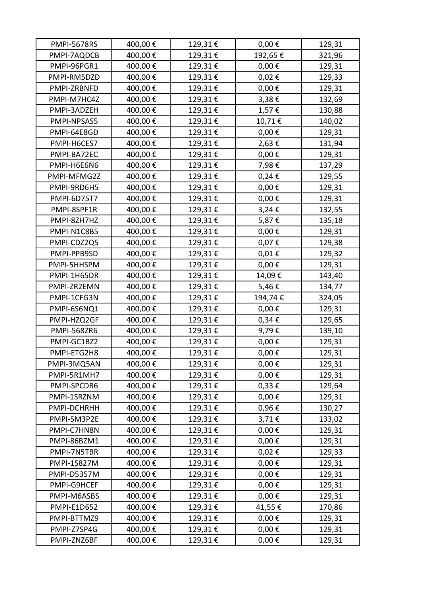| <b>PMPI-5678RS</b> | 400,00€ | 129,31€ | $0,00 \in$  | 129,31 |
|--------------------|---------|---------|-------------|--------|
| PMPI-7AQDCB        | 400,00€ | 129,31€ | 192,65€     | 321,96 |
| PMPI-96PGR1        | 400,00€ | 129,31€ | $0,00 \in$  | 129,31 |
| PMPI-RM5DZD        | 400,00€ | 129,31€ | 0,02€       | 129,33 |
| PMPI-ZRBNFD        | 400,00€ | 129,31€ | $0,00 \in$  | 129,31 |
| PMPI-M7HC4Z        | 400,00€ | 129,31€ | 3,38€       | 132,69 |
| PMPI-3ADZEH        | 400,00€ | 129,31€ | 1,57€       | 130,88 |
| PMPI-NPSAS5        | 400,00€ | 129,31€ | 10,71€      | 140,02 |
| PMPI-64E8GD        | 400,00€ | 129,31€ | $0,00 \in$  | 129,31 |
| PMPI-H6CES7        | 400,00€ | 129,31€ | 2,63€       | 131,94 |
| PMPI-BA72EC        | 400,00€ | 129,31€ | $0,00 \in$  | 129,31 |
| PMPI-H6E6N6        | 400,00€ | 129,31€ | 7,98€       | 137,29 |
| PMPI-MFMG2Z        | 400,00€ | 129,31€ | $0,24 \in$  | 129,55 |
| PMPI-9RD6H5        | 400,00€ | 129,31€ | $0,00 \in$  | 129,31 |
| PMPI-6D75T7        | 400,00€ | 129,31€ | $0,00 \in$  | 129,31 |
| PMPI-8SPF1R        | 400,00€ | 129,31€ | 3,24€       | 132,55 |
| PMPI-8ZH7HZ        | 400,00€ | 129,31€ | 5,87€       | 135,18 |
| PMPI-N1C8B5        | 400,00€ | 129,31€ | $0,00 \in$  | 129,31 |
| PMPI-CDZ2Q5        | 400,00€ | 129,31€ | 0,07€       | 129,38 |
| PMPI-PPB9SD        | 400,00€ | 129,31€ | $0,01 \in$  | 129,32 |
| PMPI-5HHSPM        | 400,00€ | 129,31€ | $0,00 \in$  | 129,31 |
| PMPI-1H65DR        | 400,00€ | 129,31€ | 14,09€      | 143,40 |
| PMPI-ZR2EMN        | 400,00€ | 129,31€ | 5,46€       | 134,77 |
| PMPI-1CFG3N        | 400,00€ | 129,31€ | 194,74€     | 324,05 |
| PMPI-6S6NQ1        | 400,00€ | 129,31€ | $0,00 \in$  | 129,31 |
| PMPI-HZQ2GF        | 400,00€ | 129,31€ | $0,34 \in$  | 129,65 |
| <b>PMPI-568ZR6</b> | 400,00€ | 129,31€ | 9,79€       | 139,10 |
| PMPI-GC1BZ2        | 400,00€ | 129,31€ | $0,00 \in$  | 129,31 |
| PMPI-ETG2H8        | 400,00€ | 129,31€ | $0,\!00\in$ | 129,31 |
| PMPI-3MQ5AN        | 400,00€ | 129,31€ | $0,00 \in$  | 129,31 |
| PMPI-5R1MH7        | 400,00€ | 129,31€ | $0,00 \in$  | 129,31 |
| PMPI-SPCDR6        | 400,00€ | 129,31€ | $0,33 \in$  | 129,64 |
| PMPI-1SRZNM        | 400,00€ | 129,31€ | $0,00 \in$  | 129,31 |
| PMPI-DCHRHH        | 400,00€ | 129,31€ | 0,96€       | 130,27 |
| PMPI-SM3P2E        | 400,00€ | 129,31€ | 3,71€       | 133,02 |
| PMPI-C7HN8N        | 400,00€ | 129,31€ | $0,00 \in$  | 129,31 |
| PMPI-86BZM1        | 400,00€ | 129,31€ | $0,00 \in$  | 129,31 |
| PMPI-7N5TBR        | 400,00€ | 129,31€ | $0,02 \in$  | 129,33 |
| <b>PMPI-1S827M</b> | 400,00€ | 129,31€ | $0,00 \in$  | 129,31 |
| PMPI-D5357M        | 400,00€ | 129,31€ | $0,00 \in$  | 129,31 |
| PMPI-G9HCEF        | 400,00€ | 129,31€ | $0,00 \in$  | 129,31 |
| PMPI-M6ASBS        | 400,00€ | 129,31€ | $0,00 \in$  | 129,31 |
| <b>PMPI-E1D652</b> | 400,00€ | 129,31€ | 41,55€      | 170,86 |
| PMPI-BTTMZ9        | 400,00€ | 129,31€ | $0,00 \in$  | 129,31 |
| PMPI-Z7SP4G        | 400,00€ | 129,31€ | $0,00 \in$  | 129,31 |
| PMPI-ZNZ6BF        | 400,00€ | 129,31€ | $0,00 \in$  | 129,31 |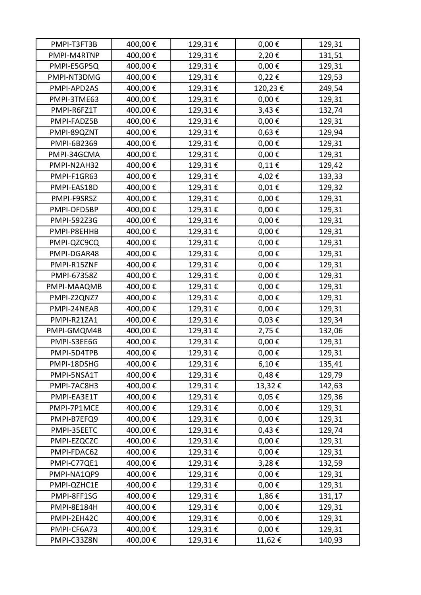| PMPI-T3FT3B        | 400,00€ | 129,31€ | $0,00 \in$  | 129,31 |
|--------------------|---------|---------|-------------|--------|
| PMPI-M4RTNP        | 400,00€ | 129,31€ | 2,20€       | 131,51 |
| PMPI-E5GP5Q        | 400,00€ | 129,31€ | $0,00 \in$  | 129,31 |
| PMPI-NT3DMG        | 400,00€ | 129,31€ | 0,22€       | 129,53 |
| PMPI-APD2AS        | 400,00€ | 129,31€ | 120,23€     | 249,54 |
| PMPI-3TME63        | 400,00€ | 129,31€ | $0,00 \in$  | 129,31 |
| PMPI-R6FZ1T        | 400,00€ | 129,31€ | 3,43€       | 132,74 |
| PMPI-FADZ5B        | 400,00€ | 129,31€ | $0,00 \in$  | 129,31 |
| PMPI-89QZNT        | 400,00€ | 129,31€ | $0,63 \in$  | 129,94 |
| PMPI-6B2369        | 400,00€ | 129,31€ | $0,00 \in$  | 129,31 |
| PMPI-34GCMA        | 400,00€ | 129,31€ | $0,00 \in$  | 129,31 |
| PMPI-N2AH32        | 400,00€ | 129,31€ | 0,11€       | 129,42 |
| PMPI-F1GR63        | 400,00€ | 129,31€ | 4,02€       | 133,33 |
| PMPI-EAS18D        | 400,00€ | 129,31€ | $0,01 \in$  | 129,32 |
| PMPI-F9SRSZ        | 400,00€ | 129,31€ | $0,00 \in$  | 129,31 |
| PMPI-DFD5BP        | 400,00€ | 129,31€ | $0,00 \in$  | 129,31 |
| <b>PMPI-592Z3G</b> | 400,00€ | 129,31€ | $0,00 \in$  | 129,31 |
| PMPI-P8EHHB        | 400,00€ | 129,31€ | $0,00 \in$  | 129,31 |
| PMPI-QZC9CQ        | 400,00€ | 129,31€ | $0,00 \in$  | 129,31 |
| PMPI-DGAR48        | 400,00€ | 129,31€ | $0,00 \in$  | 129,31 |
| PMPI-R15ZNF        | 400,00€ | 129,31€ | $0,00 \in$  | 129,31 |
| PMPI-67358Z        | 400,00€ | 129,31€ | $0,00 \in$  | 129,31 |
| PMPI-MAAQMB        | 400,00€ | 129,31€ | $0,00 \in$  | 129,31 |
| PMPI-Z2QNZ7        | 400,00€ | 129,31€ | $0,00 \in$  | 129,31 |
| PMPI-24NEAB        | 400,00€ | 129,31€ | $0,00 \in$  | 129,31 |
| PMPI-R21ZA1        | 400,00€ | 129,31€ | $0,03 \in$  | 129,34 |
| PMPI-GMQM4B        | 400,00€ | 129,31€ | 2,75€       | 132,06 |
| PMPI-S3EE6G        | 400,00€ | 129,31€ | $0,00 \in$  | 129,31 |
| PMPI-5D4TPB        | 400,00€ | 129,31€ | $0,\!00\in$ | 129,31 |
| PMPI-18DSHG        | 400,00€ | 129,31€ | 6,10€       | 135,41 |
| PMPI-5NSA1T        | 400,00€ | 129,31€ | $0,48 \in$  | 129,79 |
| PMPI-7AC8H3        | 400,00€ | 129,31€ | 13,32€      | 142,63 |
| PMPI-EA3E1T        | 400,00€ | 129,31€ | 0,05€       | 129,36 |
| PMPI-7P1MCE        | 400,00€ | 129,31€ | $0,00 \in$  | 129,31 |
| PMPI-B7EFQ9        | 400,00€ | 129,31€ | $0,00 \in$  | 129,31 |
| PMPI-35EETC        | 400,00€ | 129,31€ | $0,43 \in$  | 129,74 |
| PMPI-EZQCZC        | 400,00€ | 129,31€ | $0,00 \in$  | 129,31 |
| PMPI-FDAC62        | 400,00€ | 129,31€ | $0,00 \in$  | 129,31 |
| PMPI-C77QE1        | 400,00€ | 129,31€ | 3,28€       | 132,59 |
| PMPI-NA1QP9        | 400,00€ | 129,31€ | $0,00 \in$  | 129,31 |
| PMPI-QZHC1E        | 400,00€ | 129,31€ | $0,00 \in$  | 129,31 |
| PMPI-8FF1SG        | 400,00€ | 129,31€ | 1,86€       | 131,17 |
|                    | 400,00€ |         |             |        |
| PMPI-8E184H        |         | 129,31€ | $0,00 \in$  | 129,31 |
| PMPI-2EH42C        | 400,00€ | 129,31€ | $0,00 \in$  | 129,31 |
| PMPI-CF6A73        | 400,00€ | 129,31€ | $0,00 \in$  | 129,31 |
| PMPI-C33Z8N        | 400,00€ | 129,31€ | 11,62€      | 140,93 |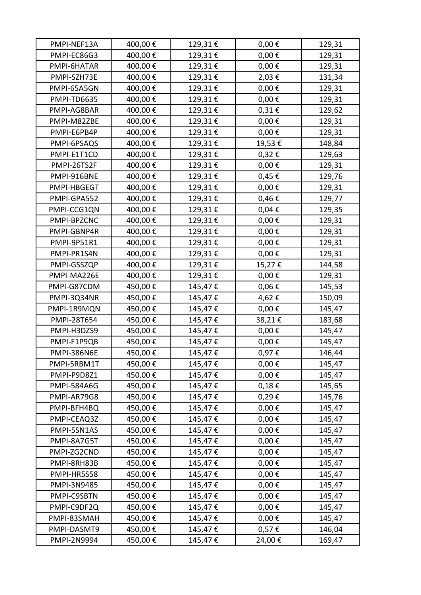| 400,00€<br>$0,00 \in$<br>PMPI-EC86G3<br>129,31€<br>129,31<br>400,00€<br>129,31€<br>$0,00 \in$<br>PMPI-6HATAR<br>129,31<br>400,00€<br>129,31€<br>2,03€<br>PMPI-SZH73E<br>131,34<br>400,00€<br>129,31€<br>$0,00 \in$<br>PMPI-65A5GN<br>129,31<br>400,00€<br>129,31€<br>$0,00 \in$<br>PMPI-TD6635<br>129,31<br>400,00€<br>129,31€<br>$0,31 \in$<br>PMPI-AG8BAR<br>129,62<br>400,00€<br>129,31€<br>$0,00 \in$<br>129,31<br>PMPI-M82ZBE<br>400,00€<br>129,31€<br>$0,00 \in$<br>PMPI-E6PB4P<br>129,31<br>400,00€<br>129,31€<br>19,53€<br>148,84<br>PMPI-6PSAQS<br>400,00€<br>129,31€<br>0,32€<br>PMPI-E1T1CD<br>129,63<br>400,00€<br>$0,00 \in$<br>PMPI-26TS2F<br>129,31€<br>129,31<br>400,00€<br>129,31€<br>0,45€<br>PMPI-916BNE<br>129,76<br>400,00€<br>129,31€<br>$0,00 \in$<br>PMPI-HBGEGT<br>129,31<br>400,00€<br>129,31€<br>0,46€<br>PMPI-GPA552<br>129,77<br>400,00€<br>129,31€<br>0,04€<br>PMPI-CCG1QN<br>129,35<br>400,00€<br>$0,00 \in$<br>PMPI-BPZCNC<br>129,31€<br>129,31<br>$0,00 \in$<br>400,00€<br>129,31€<br>129,31<br>PMPI-GBNP4R<br>400,00€<br>129,31€<br>$0,00 \in$<br>PMPI-9P51R1<br>129,31<br>400,00€<br>129,31€<br>$0,00 \in$<br>129,31<br>PMPI-PR1S4N<br>400,00€<br>129,31€<br>15,27€<br>PMPI-GSSZQP<br>144,58<br>400,00€<br>PMPI-MA226E<br>129,31€<br>$0,00 \in$<br>129,31<br>450,00€<br>145,47€<br>$0,06 \in$<br>PMPI-G87CDM<br>145,53<br>450,00€<br>4,62€<br>150,09<br>PMPI-3Q34NR<br>145,47€<br>450,00€<br>PMPI-1R9MQN<br>145,47€<br>$0,00 \in$<br>145,47<br>450,00€<br>38,21€<br>145,47€<br>183,68<br>PMPI-28T654<br>450,00€<br>145,47€<br>$0,00 \in$<br>PMPI-H3DZS9<br>145,47<br>$0,00 \in$<br>450,00€<br>145,47€<br>145,47<br>PMPI-F1P9QB<br>450,00€<br>145,47€<br>$0,\!97\in$<br>PMPI-386N6E<br>146,44<br>450,00€<br>145,47€<br>$0,00 \in$<br>145,47<br>PMPI-5RBM1T<br>450,00€<br>145,47€<br>$0,00 \in$<br>PMPI-P9D8Z1<br>145,47<br><b>PMPI-584A6G</b><br>450,00€<br>145,47€<br>$0,18 \in$<br>145,65<br>0,29€<br>450,00€<br>PMPI-AR79G8<br>145,47€<br>145,76<br>450,00€<br>$0,00 \in$<br>PMPI-BFH4BQ<br>145,47€<br>145,47<br>450,00€<br>$0,00 \in$<br>PMPI-CEAQ3Z<br>145,47€<br>145,47<br>450,00€<br>$0,00 \in$<br>PMPI-5SN1AS<br>145,47€<br>145,47<br>450,00€<br>$0,00 \in$<br>PMPI-8A7G5T<br>145,47€<br>145,47<br>450,00€<br>$0,00 \in$<br>PMPI-ZG2CND<br>145,47€<br>145,47<br>450,00€<br>$0,00 \in$<br>PMPI-8RH83B<br>145,47€<br>145,47<br>450,00€<br>$0,00 \in$<br>145,47€<br>PMPI-HR5S58<br>145,47<br>450,00€<br>$0,00 \in$<br>145,47€<br>PMPI-3N9485<br>145,47<br>450,00€<br>$0,00 \in$<br>PMPI-C9SBTN<br>145,47€<br>145,47<br>450,00€<br>$0,00 \in$<br>PMPI-C9DF2Q<br>145,47€<br>145,47<br>450,00€<br>PMPI-83SMAH<br>145,47€<br>$0,00 \in$<br>145,47<br>450,00€<br>145,47€<br>0,57€<br>PMPI-DASMT9<br>146,04 | PMPI-NEF13A | 400,00€ | 129,31€ | $0,00 \in$ | 129,31 |
|----------------------------------------------------------------------------------------------------------------------------------------------------------------------------------------------------------------------------------------------------------------------------------------------------------------------------------------------------------------------------------------------------------------------------------------------------------------------------------------------------------------------------------------------------------------------------------------------------------------------------------------------------------------------------------------------------------------------------------------------------------------------------------------------------------------------------------------------------------------------------------------------------------------------------------------------------------------------------------------------------------------------------------------------------------------------------------------------------------------------------------------------------------------------------------------------------------------------------------------------------------------------------------------------------------------------------------------------------------------------------------------------------------------------------------------------------------------------------------------------------------------------------------------------------------------------------------------------------------------------------------------------------------------------------------------------------------------------------------------------------------------------------------------------------------------------------------------------------------------------------------------------------------------------------------------------------------------------------------------------------------------------------------------------------------------------------------------------------------------------------------------------------------------------------------------------------------------------------------------------------------------------------------------------------------------------------------------------------------------------------------------------------------------------------------------------------------------------------------------------------------------------------------------------------------------------------------------------------------------------------------------------------------------------------------------------------------------------------------------------|-------------|---------|---------|------------|--------|
|                                                                                                                                                                                                                                                                                                                                                                                                                                                                                                                                                                                                                                                                                                                                                                                                                                                                                                                                                                                                                                                                                                                                                                                                                                                                                                                                                                                                                                                                                                                                                                                                                                                                                                                                                                                                                                                                                                                                                                                                                                                                                                                                                                                                                                                                                                                                                                                                                                                                                                                                                                                                                                                                                                                                              |             |         |         |            |        |
|                                                                                                                                                                                                                                                                                                                                                                                                                                                                                                                                                                                                                                                                                                                                                                                                                                                                                                                                                                                                                                                                                                                                                                                                                                                                                                                                                                                                                                                                                                                                                                                                                                                                                                                                                                                                                                                                                                                                                                                                                                                                                                                                                                                                                                                                                                                                                                                                                                                                                                                                                                                                                                                                                                                                              |             |         |         |            |        |
|                                                                                                                                                                                                                                                                                                                                                                                                                                                                                                                                                                                                                                                                                                                                                                                                                                                                                                                                                                                                                                                                                                                                                                                                                                                                                                                                                                                                                                                                                                                                                                                                                                                                                                                                                                                                                                                                                                                                                                                                                                                                                                                                                                                                                                                                                                                                                                                                                                                                                                                                                                                                                                                                                                                                              |             |         |         |            |        |
|                                                                                                                                                                                                                                                                                                                                                                                                                                                                                                                                                                                                                                                                                                                                                                                                                                                                                                                                                                                                                                                                                                                                                                                                                                                                                                                                                                                                                                                                                                                                                                                                                                                                                                                                                                                                                                                                                                                                                                                                                                                                                                                                                                                                                                                                                                                                                                                                                                                                                                                                                                                                                                                                                                                                              |             |         |         |            |        |
|                                                                                                                                                                                                                                                                                                                                                                                                                                                                                                                                                                                                                                                                                                                                                                                                                                                                                                                                                                                                                                                                                                                                                                                                                                                                                                                                                                                                                                                                                                                                                                                                                                                                                                                                                                                                                                                                                                                                                                                                                                                                                                                                                                                                                                                                                                                                                                                                                                                                                                                                                                                                                                                                                                                                              |             |         |         |            |        |
|                                                                                                                                                                                                                                                                                                                                                                                                                                                                                                                                                                                                                                                                                                                                                                                                                                                                                                                                                                                                                                                                                                                                                                                                                                                                                                                                                                                                                                                                                                                                                                                                                                                                                                                                                                                                                                                                                                                                                                                                                                                                                                                                                                                                                                                                                                                                                                                                                                                                                                                                                                                                                                                                                                                                              |             |         |         |            |        |
|                                                                                                                                                                                                                                                                                                                                                                                                                                                                                                                                                                                                                                                                                                                                                                                                                                                                                                                                                                                                                                                                                                                                                                                                                                                                                                                                                                                                                                                                                                                                                                                                                                                                                                                                                                                                                                                                                                                                                                                                                                                                                                                                                                                                                                                                                                                                                                                                                                                                                                                                                                                                                                                                                                                                              |             |         |         |            |        |
|                                                                                                                                                                                                                                                                                                                                                                                                                                                                                                                                                                                                                                                                                                                                                                                                                                                                                                                                                                                                                                                                                                                                                                                                                                                                                                                                                                                                                                                                                                                                                                                                                                                                                                                                                                                                                                                                                                                                                                                                                                                                                                                                                                                                                                                                                                                                                                                                                                                                                                                                                                                                                                                                                                                                              |             |         |         |            |        |
|                                                                                                                                                                                                                                                                                                                                                                                                                                                                                                                                                                                                                                                                                                                                                                                                                                                                                                                                                                                                                                                                                                                                                                                                                                                                                                                                                                                                                                                                                                                                                                                                                                                                                                                                                                                                                                                                                                                                                                                                                                                                                                                                                                                                                                                                                                                                                                                                                                                                                                                                                                                                                                                                                                                                              |             |         |         |            |        |
|                                                                                                                                                                                                                                                                                                                                                                                                                                                                                                                                                                                                                                                                                                                                                                                                                                                                                                                                                                                                                                                                                                                                                                                                                                                                                                                                                                                                                                                                                                                                                                                                                                                                                                                                                                                                                                                                                                                                                                                                                                                                                                                                                                                                                                                                                                                                                                                                                                                                                                                                                                                                                                                                                                                                              |             |         |         |            |        |
|                                                                                                                                                                                                                                                                                                                                                                                                                                                                                                                                                                                                                                                                                                                                                                                                                                                                                                                                                                                                                                                                                                                                                                                                                                                                                                                                                                                                                                                                                                                                                                                                                                                                                                                                                                                                                                                                                                                                                                                                                                                                                                                                                                                                                                                                                                                                                                                                                                                                                                                                                                                                                                                                                                                                              |             |         |         |            |        |
|                                                                                                                                                                                                                                                                                                                                                                                                                                                                                                                                                                                                                                                                                                                                                                                                                                                                                                                                                                                                                                                                                                                                                                                                                                                                                                                                                                                                                                                                                                                                                                                                                                                                                                                                                                                                                                                                                                                                                                                                                                                                                                                                                                                                                                                                                                                                                                                                                                                                                                                                                                                                                                                                                                                                              |             |         |         |            |        |
|                                                                                                                                                                                                                                                                                                                                                                                                                                                                                                                                                                                                                                                                                                                                                                                                                                                                                                                                                                                                                                                                                                                                                                                                                                                                                                                                                                                                                                                                                                                                                                                                                                                                                                                                                                                                                                                                                                                                                                                                                                                                                                                                                                                                                                                                                                                                                                                                                                                                                                                                                                                                                                                                                                                                              |             |         |         |            |        |
|                                                                                                                                                                                                                                                                                                                                                                                                                                                                                                                                                                                                                                                                                                                                                                                                                                                                                                                                                                                                                                                                                                                                                                                                                                                                                                                                                                                                                                                                                                                                                                                                                                                                                                                                                                                                                                                                                                                                                                                                                                                                                                                                                                                                                                                                                                                                                                                                                                                                                                                                                                                                                                                                                                                                              |             |         |         |            |        |
|                                                                                                                                                                                                                                                                                                                                                                                                                                                                                                                                                                                                                                                                                                                                                                                                                                                                                                                                                                                                                                                                                                                                                                                                                                                                                                                                                                                                                                                                                                                                                                                                                                                                                                                                                                                                                                                                                                                                                                                                                                                                                                                                                                                                                                                                                                                                                                                                                                                                                                                                                                                                                                                                                                                                              |             |         |         |            |        |
|                                                                                                                                                                                                                                                                                                                                                                                                                                                                                                                                                                                                                                                                                                                                                                                                                                                                                                                                                                                                                                                                                                                                                                                                                                                                                                                                                                                                                                                                                                                                                                                                                                                                                                                                                                                                                                                                                                                                                                                                                                                                                                                                                                                                                                                                                                                                                                                                                                                                                                                                                                                                                                                                                                                                              |             |         |         |            |        |
|                                                                                                                                                                                                                                                                                                                                                                                                                                                                                                                                                                                                                                                                                                                                                                                                                                                                                                                                                                                                                                                                                                                                                                                                                                                                                                                                                                                                                                                                                                                                                                                                                                                                                                                                                                                                                                                                                                                                                                                                                                                                                                                                                                                                                                                                                                                                                                                                                                                                                                                                                                                                                                                                                                                                              |             |         |         |            |        |
|                                                                                                                                                                                                                                                                                                                                                                                                                                                                                                                                                                                                                                                                                                                                                                                                                                                                                                                                                                                                                                                                                                                                                                                                                                                                                                                                                                                                                                                                                                                                                                                                                                                                                                                                                                                                                                                                                                                                                                                                                                                                                                                                                                                                                                                                                                                                                                                                                                                                                                                                                                                                                                                                                                                                              |             |         |         |            |        |
|                                                                                                                                                                                                                                                                                                                                                                                                                                                                                                                                                                                                                                                                                                                                                                                                                                                                                                                                                                                                                                                                                                                                                                                                                                                                                                                                                                                                                                                                                                                                                                                                                                                                                                                                                                                                                                                                                                                                                                                                                                                                                                                                                                                                                                                                                                                                                                                                                                                                                                                                                                                                                                                                                                                                              |             |         |         |            |        |
|                                                                                                                                                                                                                                                                                                                                                                                                                                                                                                                                                                                                                                                                                                                                                                                                                                                                                                                                                                                                                                                                                                                                                                                                                                                                                                                                                                                                                                                                                                                                                                                                                                                                                                                                                                                                                                                                                                                                                                                                                                                                                                                                                                                                                                                                                                                                                                                                                                                                                                                                                                                                                                                                                                                                              |             |         |         |            |        |
|                                                                                                                                                                                                                                                                                                                                                                                                                                                                                                                                                                                                                                                                                                                                                                                                                                                                                                                                                                                                                                                                                                                                                                                                                                                                                                                                                                                                                                                                                                                                                                                                                                                                                                                                                                                                                                                                                                                                                                                                                                                                                                                                                                                                                                                                                                                                                                                                                                                                                                                                                                                                                                                                                                                                              |             |         |         |            |        |
|                                                                                                                                                                                                                                                                                                                                                                                                                                                                                                                                                                                                                                                                                                                                                                                                                                                                                                                                                                                                                                                                                                                                                                                                                                                                                                                                                                                                                                                                                                                                                                                                                                                                                                                                                                                                                                                                                                                                                                                                                                                                                                                                                                                                                                                                                                                                                                                                                                                                                                                                                                                                                                                                                                                                              |             |         |         |            |        |
|                                                                                                                                                                                                                                                                                                                                                                                                                                                                                                                                                                                                                                                                                                                                                                                                                                                                                                                                                                                                                                                                                                                                                                                                                                                                                                                                                                                                                                                                                                                                                                                                                                                                                                                                                                                                                                                                                                                                                                                                                                                                                                                                                                                                                                                                                                                                                                                                                                                                                                                                                                                                                                                                                                                                              |             |         |         |            |        |
|                                                                                                                                                                                                                                                                                                                                                                                                                                                                                                                                                                                                                                                                                                                                                                                                                                                                                                                                                                                                                                                                                                                                                                                                                                                                                                                                                                                                                                                                                                                                                                                                                                                                                                                                                                                                                                                                                                                                                                                                                                                                                                                                                                                                                                                                                                                                                                                                                                                                                                                                                                                                                                                                                                                                              |             |         |         |            |        |
|                                                                                                                                                                                                                                                                                                                                                                                                                                                                                                                                                                                                                                                                                                                                                                                                                                                                                                                                                                                                                                                                                                                                                                                                                                                                                                                                                                                                                                                                                                                                                                                                                                                                                                                                                                                                                                                                                                                                                                                                                                                                                                                                                                                                                                                                                                                                                                                                                                                                                                                                                                                                                                                                                                                                              |             |         |         |            |        |
|                                                                                                                                                                                                                                                                                                                                                                                                                                                                                                                                                                                                                                                                                                                                                                                                                                                                                                                                                                                                                                                                                                                                                                                                                                                                                                                                                                                                                                                                                                                                                                                                                                                                                                                                                                                                                                                                                                                                                                                                                                                                                                                                                                                                                                                                                                                                                                                                                                                                                                                                                                                                                                                                                                                                              |             |         |         |            |        |
|                                                                                                                                                                                                                                                                                                                                                                                                                                                                                                                                                                                                                                                                                                                                                                                                                                                                                                                                                                                                                                                                                                                                                                                                                                                                                                                                                                                                                                                                                                                                                                                                                                                                                                                                                                                                                                                                                                                                                                                                                                                                                                                                                                                                                                                                                                                                                                                                                                                                                                                                                                                                                                                                                                                                              |             |         |         |            |        |
|                                                                                                                                                                                                                                                                                                                                                                                                                                                                                                                                                                                                                                                                                                                                                                                                                                                                                                                                                                                                                                                                                                                                                                                                                                                                                                                                                                                                                                                                                                                                                                                                                                                                                                                                                                                                                                                                                                                                                                                                                                                                                                                                                                                                                                                                                                                                                                                                                                                                                                                                                                                                                                                                                                                                              |             |         |         |            |        |
|                                                                                                                                                                                                                                                                                                                                                                                                                                                                                                                                                                                                                                                                                                                                                                                                                                                                                                                                                                                                                                                                                                                                                                                                                                                                                                                                                                                                                                                                                                                                                                                                                                                                                                                                                                                                                                                                                                                                                                                                                                                                                                                                                                                                                                                                                                                                                                                                                                                                                                                                                                                                                                                                                                                                              |             |         |         |            |        |
|                                                                                                                                                                                                                                                                                                                                                                                                                                                                                                                                                                                                                                                                                                                                                                                                                                                                                                                                                                                                                                                                                                                                                                                                                                                                                                                                                                                                                                                                                                                                                                                                                                                                                                                                                                                                                                                                                                                                                                                                                                                                                                                                                                                                                                                                                                                                                                                                                                                                                                                                                                                                                                                                                                                                              |             |         |         |            |        |
|                                                                                                                                                                                                                                                                                                                                                                                                                                                                                                                                                                                                                                                                                                                                                                                                                                                                                                                                                                                                                                                                                                                                                                                                                                                                                                                                                                                                                                                                                                                                                                                                                                                                                                                                                                                                                                                                                                                                                                                                                                                                                                                                                                                                                                                                                                                                                                                                                                                                                                                                                                                                                                                                                                                                              |             |         |         |            |        |
|                                                                                                                                                                                                                                                                                                                                                                                                                                                                                                                                                                                                                                                                                                                                                                                                                                                                                                                                                                                                                                                                                                                                                                                                                                                                                                                                                                                                                                                                                                                                                                                                                                                                                                                                                                                                                                                                                                                                                                                                                                                                                                                                                                                                                                                                                                                                                                                                                                                                                                                                                                                                                                                                                                                                              |             |         |         |            |        |
|                                                                                                                                                                                                                                                                                                                                                                                                                                                                                                                                                                                                                                                                                                                                                                                                                                                                                                                                                                                                                                                                                                                                                                                                                                                                                                                                                                                                                                                                                                                                                                                                                                                                                                                                                                                                                                                                                                                                                                                                                                                                                                                                                                                                                                                                                                                                                                                                                                                                                                                                                                                                                                                                                                                                              |             |         |         |            |        |
|                                                                                                                                                                                                                                                                                                                                                                                                                                                                                                                                                                                                                                                                                                                                                                                                                                                                                                                                                                                                                                                                                                                                                                                                                                                                                                                                                                                                                                                                                                                                                                                                                                                                                                                                                                                                                                                                                                                                                                                                                                                                                                                                                                                                                                                                                                                                                                                                                                                                                                                                                                                                                                                                                                                                              |             |         |         |            |        |
|                                                                                                                                                                                                                                                                                                                                                                                                                                                                                                                                                                                                                                                                                                                                                                                                                                                                                                                                                                                                                                                                                                                                                                                                                                                                                                                                                                                                                                                                                                                                                                                                                                                                                                                                                                                                                                                                                                                                                                                                                                                                                                                                                                                                                                                                                                                                                                                                                                                                                                                                                                                                                                                                                                                                              |             |         |         |            |        |
|                                                                                                                                                                                                                                                                                                                                                                                                                                                                                                                                                                                                                                                                                                                                                                                                                                                                                                                                                                                                                                                                                                                                                                                                                                                                                                                                                                                                                                                                                                                                                                                                                                                                                                                                                                                                                                                                                                                                                                                                                                                                                                                                                                                                                                                                                                                                                                                                                                                                                                                                                                                                                                                                                                                                              |             |         |         |            |        |
|                                                                                                                                                                                                                                                                                                                                                                                                                                                                                                                                                                                                                                                                                                                                                                                                                                                                                                                                                                                                                                                                                                                                                                                                                                                                                                                                                                                                                                                                                                                                                                                                                                                                                                                                                                                                                                                                                                                                                                                                                                                                                                                                                                                                                                                                                                                                                                                                                                                                                                                                                                                                                                                                                                                                              |             |         |         |            |        |
|                                                                                                                                                                                                                                                                                                                                                                                                                                                                                                                                                                                                                                                                                                                                                                                                                                                                                                                                                                                                                                                                                                                                                                                                                                                                                                                                                                                                                                                                                                                                                                                                                                                                                                                                                                                                                                                                                                                                                                                                                                                                                                                                                                                                                                                                                                                                                                                                                                                                                                                                                                                                                                                                                                                                              |             |         |         |            |        |
|                                                                                                                                                                                                                                                                                                                                                                                                                                                                                                                                                                                                                                                                                                                                                                                                                                                                                                                                                                                                                                                                                                                                                                                                                                                                                                                                                                                                                                                                                                                                                                                                                                                                                                                                                                                                                                                                                                                                                                                                                                                                                                                                                                                                                                                                                                                                                                                                                                                                                                                                                                                                                                                                                                                                              |             |         |         |            |        |
|                                                                                                                                                                                                                                                                                                                                                                                                                                                                                                                                                                                                                                                                                                                                                                                                                                                                                                                                                                                                                                                                                                                                                                                                                                                                                                                                                                                                                                                                                                                                                                                                                                                                                                                                                                                                                                                                                                                                                                                                                                                                                                                                                                                                                                                                                                                                                                                                                                                                                                                                                                                                                                                                                                                                              |             |         |         |            |        |
|                                                                                                                                                                                                                                                                                                                                                                                                                                                                                                                                                                                                                                                                                                                                                                                                                                                                                                                                                                                                                                                                                                                                                                                                                                                                                                                                                                                                                                                                                                                                                                                                                                                                                                                                                                                                                                                                                                                                                                                                                                                                                                                                                                                                                                                                                                                                                                                                                                                                                                                                                                                                                                                                                                                                              |             |         |         |            |        |
|                                                                                                                                                                                                                                                                                                                                                                                                                                                                                                                                                                                                                                                                                                                                                                                                                                                                                                                                                                                                                                                                                                                                                                                                                                                                                                                                                                                                                                                                                                                                                                                                                                                                                                                                                                                                                                                                                                                                                                                                                                                                                                                                                                                                                                                                                                                                                                                                                                                                                                                                                                                                                                                                                                                                              |             |         |         |            |        |
|                                                                                                                                                                                                                                                                                                                                                                                                                                                                                                                                                                                                                                                                                                                                                                                                                                                                                                                                                                                                                                                                                                                                                                                                                                                                                                                                                                                                                                                                                                                                                                                                                                                                                                                                                                                                                                                                                                                                                                                                                                                                                                                                                                                                                                                                                                                                                                                                                                                                                                                                                                                                                                                                                                                                              |             |         |         |            |        |
|                                                                                                                                                                                                                                                                                                                                                                                                                                                                                                                                                                                                                                                                                                                                                                                                                                                                                                                                                                                                                                                                                                                                                                                                                                                                                                                                                                                                                                                                                                                                                                                                                                                                                                                                                                                                                                                                                                                                                                                                                                                                                                                                                                                                                                                                                                                                                                                                                                                                                                                                                                                                                                                                                                                                              |             |         |         |            |        |
|                                                                                                                                                                                                                                                                                                                                                                                                                                                                                                                                                                                                                                                                                                                                                                                                                                                                                                                                                                                                                                                                                                                                                                                                                                                                                                                                                                                                                                                                                                                                                                                                                                                                                                                                                                                                                                                                                                                                                                                                                                                                                                                                                                                                                                                                                                                                                                                                                                                                                                                                                                                                                                                                                                                                              | PMPI-2N9994 | 450,00€ | 145,47€ | 24,00€     | 169,47 |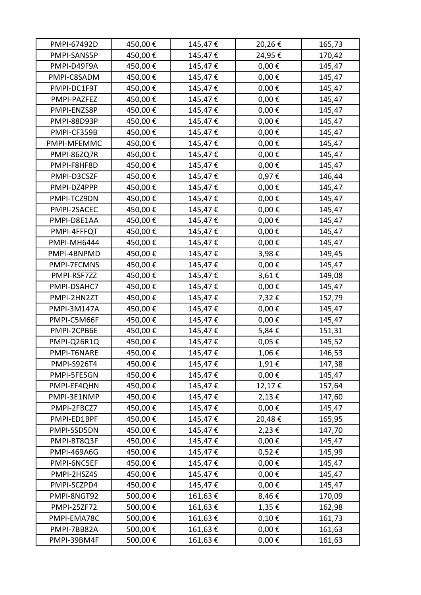| PMPI-67492D        | 450,00€ | 145,47€ | 20,26€     | 165,73 |
|--------------------|---------|---------|------------|--------|
| PMPI-SANS5P        | 450,00€ | 145,47€ | 24,95€     | 170,42 |
| PMPI-D49F9A        | 450,00€ | 145,47€ | $0,00 \in$ | 145,47 |
| PMPI-C8SADM        | 450,00€ | 145,47€ | $0,00 \in$ | 145,47 |
| PMPI-DC1F9T        | 450,00€ | 145,47€ | $0,00 \in$ | 145,47 |
| PMPI-PAZFEZ        | 450,00€ | 145,47€ | $0,00 \in$ | 145,47 |
| PMPI-ENZS8P        | 450,00€ | 145,47€ | $0,00 \in$ | 145,47 |
| PMPI-88D93P        | 450,00€ | 145,47€ | $0,00 \in$ | 145,47 |
| PMPI-CF359B        | 450,00€ | 145,47€ | $0,00 \in$ | 145,47 |
| PMPI-MFEMMC        | 450,00€ | 145,47€ | $0,00 \in$ | 145,47 |
| PMPI-86ZQ7R        | 450,00€ | 145,47€ | $0,00 \in$ | 145,47 |
| PMPI-F8HF8D        | 450,00€ | 145,47€ | $0,00 \in$ | 145,47 |
| PMPI-D3CSZF        | 450,00€ | 145,47€ | 0,97€      | 146,44 |
| PMPI-DZ4PPP        | 450,00€ | 145,47€ | $0,00 \in$ | 145,47 |
| PMPI-TCZ9DN        | 450,00€ | 145,47€ | $0,00 \in$ | 145,47 |
| PMPI-2SACEC        | 450,00€ | 145,47€ | $0,00 \in$ | 145,47 |
| PMPI-D8E1AA        | 450,00€ | 145,47€ | $0,00 \in$ | 145,47 |
| PMPI-4FFFQT        | 450,00€ | 145,47€ | $0,00 \in$ | 145,47 |
| PMPI-MH6444        | 450,00€ | 145,47€ | $0,00 \in$ | 145,47 |
| PMPI-4BNPMD        | 450,00€ | 145,47€ | 3,98€      | 149,45 |
| PMPI-7FCMNS        | 450,00€ | 145,47€ | $0,00 \in$ | 145,47 |
| PMPI-RSF7ZZ        | 450,00€ | 145,47€ | 3,61€      | 149,08 |
| PMPI-DSAHC7        | 450,00€ | 145,47€ | $0,00 \in$ | 145,47 |
| PMPI-2HN2ZT        | 450,00€ | 145,47€ | 7,32€      | 152,79 |
| PMPI-3M147A        | 450,00€ | 145,47€ | $0,00 \in$ | 145,47 |
| PMPI-C5M66F        | 450,00€ | 145,47€ | $0,00 \in$ | 145,47 |
| PMPI-2CPB6E        | 450,00€ | 145,47€ | 5,84€      | 151,31 |
| PMPI-Q26R1Q        | 450,00€ | 145,47€ | 0,05€      | 145,52 |
| PMPI-T6NARE        | 450,00€ | 145,47€ | 1,06€      | 146,53 |
| <b>PMPI-S926T4</b> | 450,00€ | 145,47€ | 1,91€      | 147,38 |
| PMPI-5FE5GN        | 450,00€ | 145,47€ | $0,00 \in$ | 145,47 |
| PMPI-EF4QHN        | 450,00€ | 145,47€ | 12,17€     | 157,64 |
| PMPI-3E1NMP        | 450,00€ | 145,47€ | 2,13€      | 147,60 |
| PMPI-2FBCZ7        | 450,00€ | 145,47€ | $0,00 \in$ | 145,47 |
| PMPI-ED1BPF        | 450,00€ | 145,47€ | 20,48€     | 165,95 |
| PMPI-SSD5DN        | 450,00€ | 145,47€ | 2,23€      | 147,70 |
| PMPI-BT8Q3F        | 450,00€ | 145,47€ | $0,00 \in$ | 145,47 |
| <b>PMPI-469A6G</b> | 450,00€ | 145,47€ | 0,52€      | 145,99 |
| PMPI-6NC5EF        | 450,00€ | 145,47€ | $0,00 \in$ | 145,47 |
| PMPI-2HSZ4S        | 450,00€ | 145,47€ | $0,00 \in$ | 145,47 |
| PMPI-SCZPD4        | 450,00€ | 145,47€ | $0,00 \in$ | 145,47 |
| PMPI-8NGT92        | 500,00€ | 161,63€ | 8,46€      | 170,09 |
| <b>PMPI-25ZF72</b> | 500,00€ | 161,63€ | 1,35€      | 162,98 |
| PMPI-EMA78C        | 500,00€ | 161,63€ | 0,10€      | 161,73 |
| PMPI-7BB82A        | 500,00€ | 161,63€ | $0,00 \in$ | 161,63 |
| PMPI-39BM4F        | 500,00€ | 161,63€ | $0,00 \in$ | 161,63 |